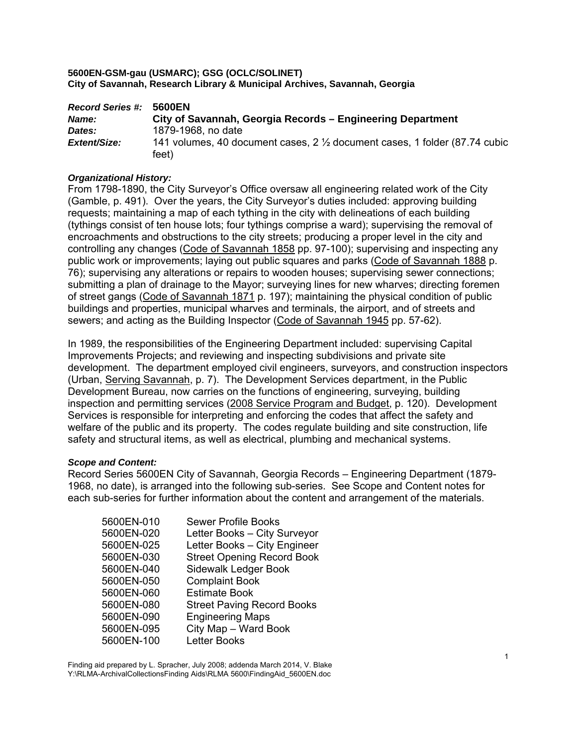| <b>Record Series #:</b> | 5600EN                                                                                        |
|-------------------------|-----------------------------------------------------------------------------------------------|
| <b>Name:</b>            | City of Savannah, Georgia Records – Engineering Department                                    |
| Dates:                  | 1879-1968, no date                                                                            |
| Extent/Size:            | 141 volumes, 40 document cases, $2\frac{1}{2}$ document cases, 1 folder (87.74 cubic<br>feet) |

# *Organizational History:*

From 1798-1890, the City Surveyor's Office oversaw all engineering related work of the City (Gamble, p. 491). Over the years, the City Surveyor's duties included: approving building requests; maintaining a map of each tything in the city with delineations of each building (tythings consist of ten house lots; four tythings comprise a ward); supervising the removal of encroachments and obstructions to the city streets; producing a proper level in the city and controlling any changes (Code of Savannah 1858 pp. 97-100); supervising and inspecting any public work or improvements; laying out public squares and parks (Code of Savannah 1888 p. 76); supervising any alterations or repairs to wooden houses; supervising sewer connections; submitting a plan of drainage to the Mayor; surveying lines for new wharves; directing foremen of street gangs (Code of Savannah 1871 p. 197); maintaining the physical condition of public buildings and properties, municipal wharves and terminals, the airport, and of streets and sewers; and acting as the Building Inspector (Code of Savannah 1945 pp. 57-62).

In 1989, the responsibilities of the Engineering Department included: supervising Capital Improvements Projects; and reviewing and inspecting subdivisions and private site development. The department employed civil engineers, surveyors, and construction inspectors (Urban, Serving Savannah, p. 7). The Development Services department, in the Public Development Bureau, now carries on the functions of engineering, surveying, building inspection and permitting services (2008 Service Program and Budget, p. 120). Development Services is responsible for interpreting and enforcing the codes that affect the safety and welfare of the public and its property. The codes regulate building and site construction, life safety and structural items, as well as electrical, plumbing and mechanical systems.

#### *Scope and Content:*

Record Series 5600EN City of Savannah, Georgia Records – Engineering Department (1879- 1968, no date), is arranged into the following sub-series. See Scope and Content notes for each sub-series for further information about the content and arrangement of the materials.

| <b>Sewer Profile Books</b>        |
|-----------------------------------|
| Letter Books - City Surveyor      |
| Letter Books - City Engineer      |
| <b>Street Opening Record Book</b> |
| Sidewalk Ledger Book              |
| <b>Complaint Book</b>             |
| <b>Estimate Book</b>              |
| <b>Street Paving Record Books</b> |
| <b>Engineering Maps</b>           |
| City Map - Ward Book              |
| <b>Letter Books</b>               |
|                                   |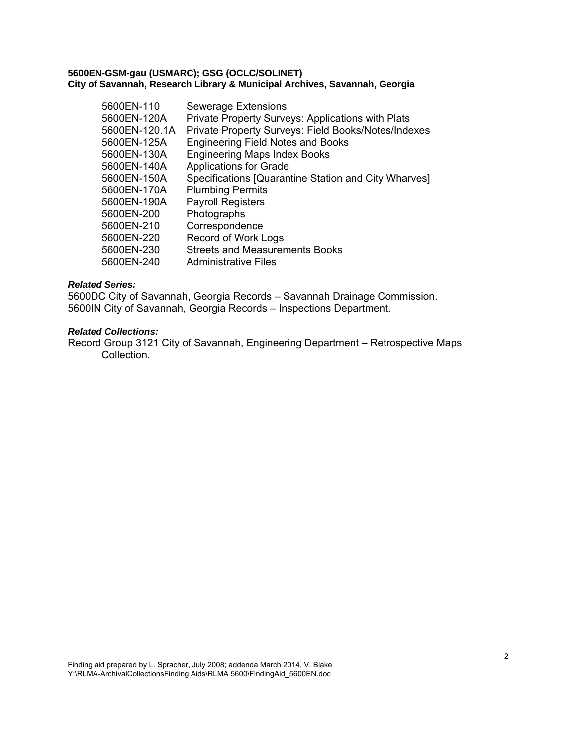| 5600EN-110    | <b>Sewerage Extensions</b>                           |
|---------------|------------------------------------------------------|
| 5600EN-120A   | Private Property Surveys: Applications with Plats    |
| 5600EN-120.1A | Private Property Surveys: Field Books/Notes/Indexes  |
| 5600EN-125A   | <b>Engineering Field Notes and Books</b>             |
| 5600EN-130A   | <b>Engineering Maps Index Books</b>                  |
| 5600EN-140A   | <b>Applications for Grade</b>                        |
| 5600EN-150A   | Specifications [Quarantine Station and City Wharves] |
| 5600EN-170A   | <b>Plumbing Permits</b>                              |
| 5600EN-190A   | <b>Payroll Registers</b>                             |
| 5600EN-200    | Photographs                                          |
| 5600EN-210    | Correspondence                                       |
| 5600EN-220    | <b>Record of Work Logs</b>                           |
| 5600EN-230    | <b>Streets and Measurements Books</b>                |
| 5600EN-240    | Administrative Files                                 |

# *Related Series:*

5600DC City of Savannah, Georgia Records – Savannah Drainage Commission. 5600IN City of Savannah, Georgia Records – Inspections Department.

#### *Related Collections:*

Record Group 3121 City of Savannah, Engineering Department – Retrospective Maps Collection.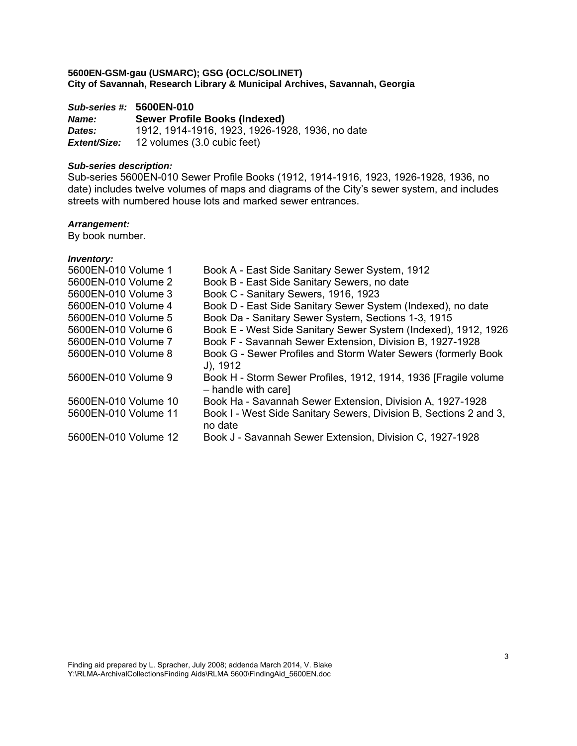# *Sub-series #:* **5600EN-010**

*Name:* **Sewer Profile Books (Indexed)**  *Dates:* 1912, 1914-1916, 1923, 1926-1928, 1936, no date *Extent/Size:* 12 volumes (3.0 cubic feet)

#### *Sub-series description:*

Sub-series 5600EN-010 Sewer Profile Books (1912, 1914-1916, 1923, 1926-1928, 1936, no date) includes twelve volumes of maps and diagrams of the City's sewer system, and includes streets with numbered house lots and marked sewer entrances.

# *Arrangement:*

By book number.

| 5600EN-010 Volume 1  | Book A - East Side Sanitary Sewer System, 1912                                          |
|----------------------|-----------------------------------------------------------------------------------------|
| 5600EN-010 Volume 2  | Book B - East Side Sanitary Sewers, no date                                             |
| 5600EN-010 Volume 3  | Book C - Sanitary Sewers, 1916, 1923                                                    |
| 5600EN-010 Volume 4  | Book D - East Side Sanitary Sewer System (Indexed), no date                             |
| 5600EN-010 Volume 5  | Book Da - Sanitary Sewer System, Sections 1-3, 1915                                     |
| 5600EN-010 Volume 6  | Book E - West Side Sanitary Sewer System (Indexed), 1912, 1926                          |
| 5600EN-010 Volume 7  | Book F - Savannah Sewer Extension, Division B, 1927-1928                                |
| 5600EN-010 Volume 8  | Book G - Sewer Profiles and Storm Water Sewers (formerly Book<br>$J$ ), 1912            |
| 5600EN-010 Volume 9  | Book H - Storm Sewer Profiles, 1912, 1914, 1936 [Fragile volume]<br>- handle with care] |
| 5600EN-010 Volume 10 | Book Ha - Savannah Sewer Extension, Division A, 1927-1928                               |
| 5600EN-010 Volume 11 | Book I - West Side Sanitary Sewers, Division B, Sections 2 and 3,<br>no date            |
| 5600EN-010 Volume 12 | Book J - Savannah Sewer Extension, Division C, 1927-1928                                |
|                      |                                                                                         |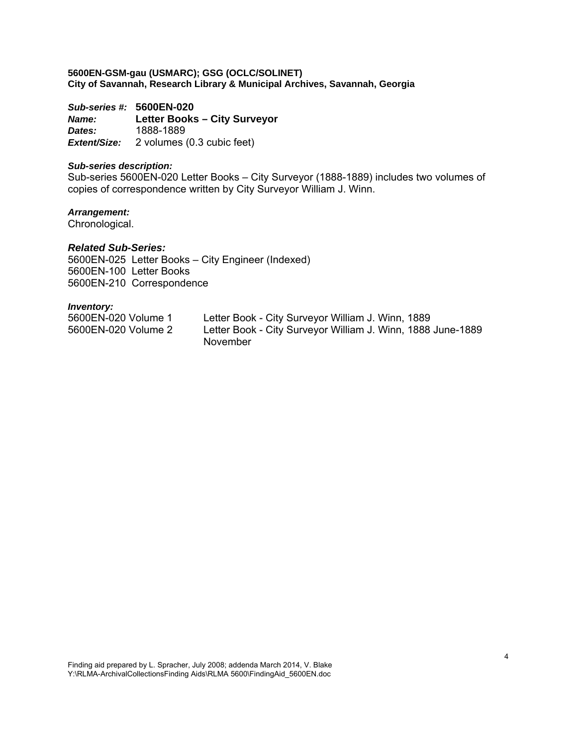*Sub-series #:* **5600EN-020** *Name:* **Letter Books – City Surveyor**  *Dates:* 1888-1889 *Extent/Size:* 2 volumes (0.3 cubic feet)

#### *Sub-series description:*

Sub-series 5600EN-020 Letter Books – City Surveyor (1888-1889) includes two volumes of copies of correspondence written by City Surveyor William J. Winn.

*Arrangement:*  Chronological.

# *Related Sub-Series:*

5600EN-025 Letter Books – City Engineer (Indexed) 5600EN-100 Letter Books 5600EN-210 Correspondence

| 5600EN-020 Volume 1 | Letter Book - City Surveyor William J. Winn, 1889           |
|---------------------|-------------------------------------------------------------|
| 5600EN-020 Volume 2 | Letter Book - City Surveyor William J. Winn, 1888 June-1889 |
|                     | November                                                    |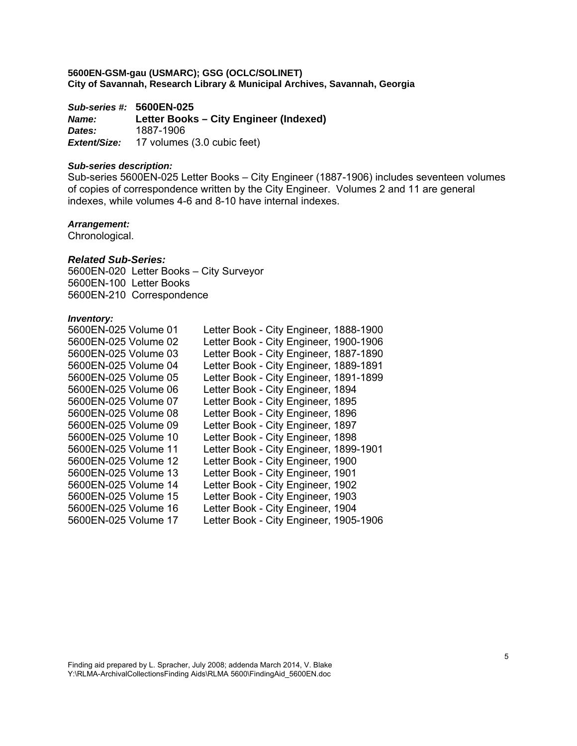*Sub-series #:* **5600EN-025**

*Name:* **Letter Books – City Engineer (Indexed)**  *Dates:* 1887-1906 *Extent/Size:* 17 volumes (3.0 cubic feet)

# *Sub-series description:*

Sub-series 5600EN-025 Letter Books – City Engineer (1887-1906) includes seventeen volumes of copies of correspondence written by the City Engineer. Volumes 2 and 11 are general indexes, while volumes 4-6 and 8-10 have internal indexes.

#### *Arrangement:*

Chronological.

#### *Related Sub-Series:*

5600EN-020 Letter Books – City Surveyor 5600EN-100 Letter Books 5600EN-210 Correspondence

|                                                                | Letter Book - City Engineer, 1888-1900 |
|----------------------------------------------------------------|----------------------------------------|
| Letter Book - City Engineer, 1900-1906<br>5600EN-025 Volume 02 |                                        |
| Letter Book - City Engineer, 1887-1890<br>5600EN-025 Volume 03 |                                        |
| 5600EN-025 Volume 04<br>Letter Book - City Engineer, 1889-1891 |                                        |
| 5600EN-025 Volume 05<br>Letter Book - City Engineer, 1891-1899 |                                        |
| 5600EN-025 Volume 06<br>Letter Book - City Engineer, 1894      |                                        |
| Letter Book - City Engineer, 1895<br>5600EN-025 Volume 07      |                                        |
| Letter Book - City Engineer, 1896<br>5600EN-025 Volume 08      |                                        |
| 5600EN-025 Volume 09<br>Letter Book - City Engineer, 1897      |                                        |
| 5600EN-025 Volume 10<br>Letter Book - City Engineer, 1898      |                                        |
| Letter Book - City Engineer, 1899-1901<br>5600EN-025 Volume 11 |                                        |
| Letter Book - City Engineer, 1900<br>5600EN-025 Volume 12      |                                        |
| 5600EN-025 Volume 13<br>Letter Book - City Engineer, 1901      |                                        |
| 5600EN-025 Volume 14<br>Letter Book - City Engineer, 1902      |                                        |
| 5600EN-025 Volume 15<br>Letter Book - City Engineer, 1903      |                                        |
| Letter Book - City Engineer, 1904<br>5600EN-025 Volume 16      |                                        |
| Letter Book - City Engineer, 1905-1906<br>5600EN-025 Volume 17 |                                        |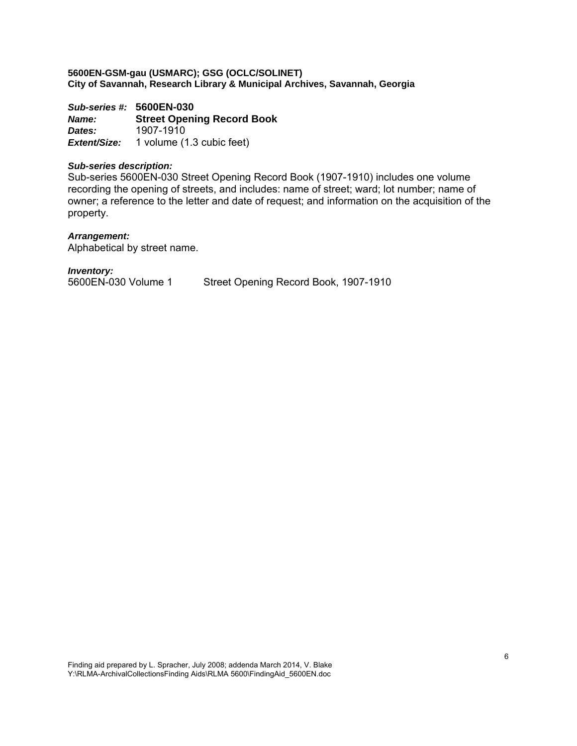*Sub-series #:* **5600EN-030** *Name:* **Street Opening Record Book**  *Dates:* 1907-1910 *Extent/Size:* 1 volume (1.3 cubic feet)

#### *Sub-series description:*

Sub-series 5600EN-030 Street Opening Record Book (1907-1910) includes one volume recording the opening of streets, and includes: name of street; ward; lot number; name of owner; a reference to the letter and date of request; and information on the acquisition of the property.

#### *Arrangement:*

Alphabetical by street name.

*Inventory:* 

5600EN-030 Volume 1 Street Opening Record Book, 1907-1910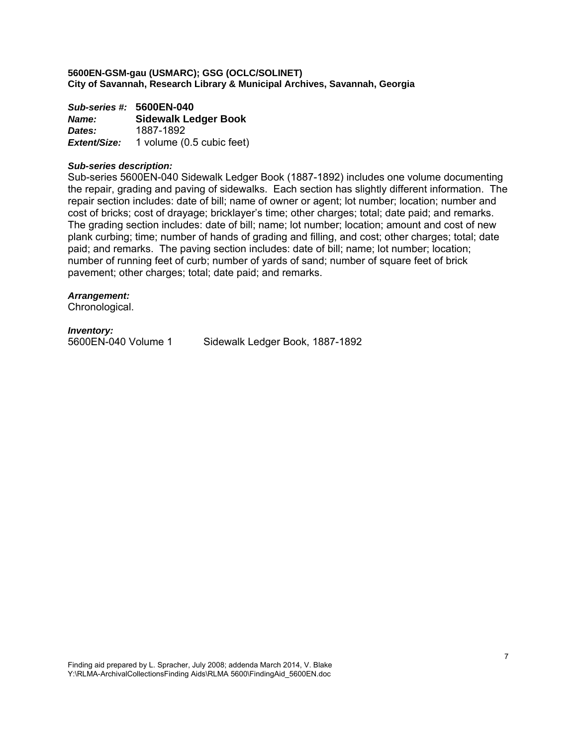*Sub-series #:* **5600EN-040** *Name:* **Sidewalk Ledger Book**  *Dates:* 1887-1892 *Extent/Size:* 1 volume (0.5 cubic feet)

#### *Sub-series description:*

Sub-series 5600EN-040 Sidewalk Ledger Book (1887-1892) includes one volume documenting the repair, grading and paving of sidewalks. Each section has slightly different information. The repair section includes: date of bill; name of owner or agent; lot number; location; number and cost of bricks; cost of drayage; bricklayer's time; other charges; total; date paid; and remarks. The grading section includes: date of bill; name; lot number; location; amount and cost of new plank curbing; time; number of hands of grading and filling, and cost; other charges; total; date paid; and remarks. The paving section includes: date of bill; name; lot number; location; number of running feet of curb; number of yards of sand; number of square feet of brick pavement; other charges; total; date paid; and remarks.

#### *Arrangement:*

Chronological.

*Inventory:* 

Sidewalk Ledger Book, 1887-1892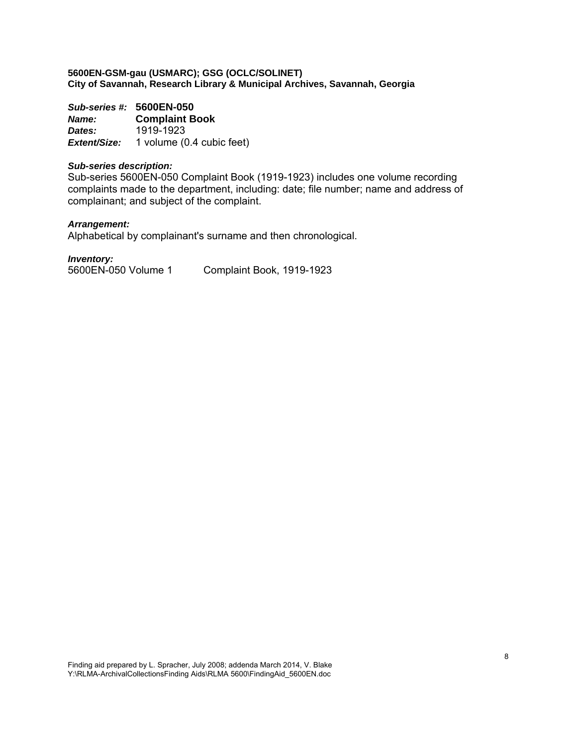*Sub-series #:* **5600EN-050** *Name:* **Complaint Book**  *Dates:* 1919-1923 *Extent/Size:* 1 volume (0.4 cubic feet)

#### *Sub-series description:*

Sub-series 5600EN-050 Complaint Book (1919-1923) includes one volume recording complaints made to the department, including: date; file number; name and address of complainant; and subject of the complaint.

# *Arrangement:*

Alphabetical by complainant's surname and then chronological.

*Inventory:*  5600EN-050 Volume 1 Complaint Book, 1919-1923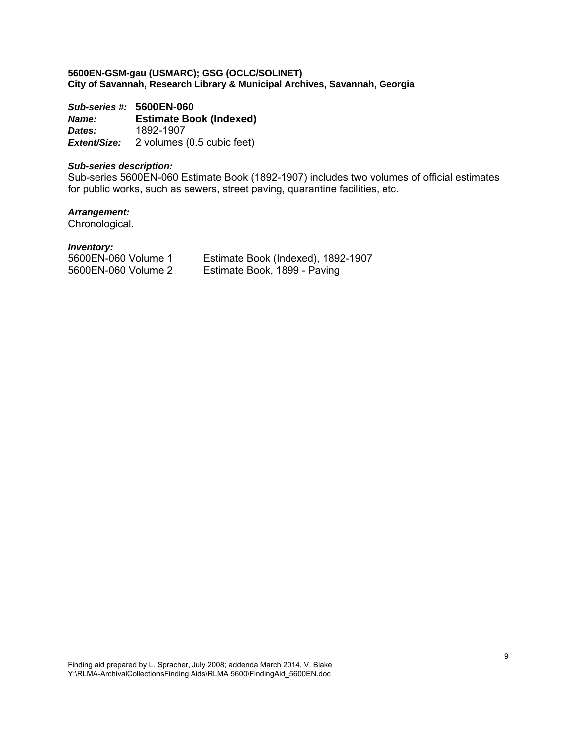*Sub-series #:* **5600EN-060** *Name:* **Estimate Book (Indexed)**  *Dates:* 1892-1907 *Extent/Size:* 2 volumes (0.5 cubic feet)

#### *Sub-series description:*

Sub-series 5600EN-060 Estimate Book (1892-1907) includes two volumes of official estimates for public works, such as sewers, street paving, quarantine facilities, etc.

# *Arrangement:*

Chronological.

# *Inventory:*

5600EN-060 Volume 1 Estimate Book (Indexed), 1892-1907 Estimate Book, 1899 - Paving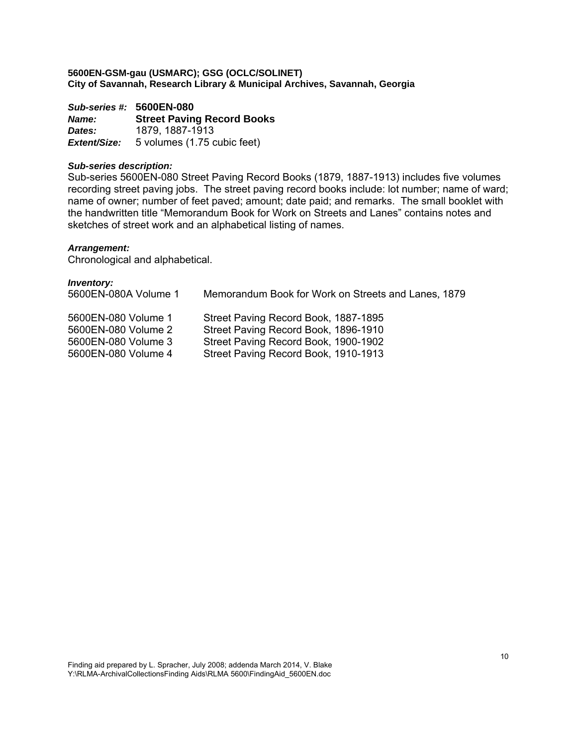*Sub-series #:* **5600EN-080** *Name:* **Street Paving Record Books Dates:** 1879, 1887-1913<br> **Extent/Size:** 5 volumes (1.75 c *Extent/Size:* 5 volumes (1.75 cubic feet)

#### *Sub-series description:*

Sub-series 5600EN-080 Street Paving Record Books (1879, 1887-1913) includes five volumes recording street paving jobs. The street paving record books include: lot number; name of ward; name of owner; number of feet paved; amount; date paid; and remarks. The small booklet with the handwritten title "Memorandum Book for Work on Streets and Lanes" contains notes and sketches of street work and an alphabetical listing of names.

# *Arrangement:*

Chronological and alphabetical.

| <b>Inventory:</b><br>5600EN-080A Volume 1 | Memorandum Book for Work on Streets and Lanes, 1879 |
|-------------------------------------------|-----------------------------------------------------|
| 5600EN-080 Volume 1                       | Street Paving Record Book, 1887-1895                |
| 5600EN-080 Volume 2                       | Street Paving Record Book, 1896-1910                |
| 5600EN-080 Volume 3                       | Street Paving Record Book, 1900-1902                |
| 5600EN-080 Volume 4                       | Street Paving Record Book, 1910-1913                |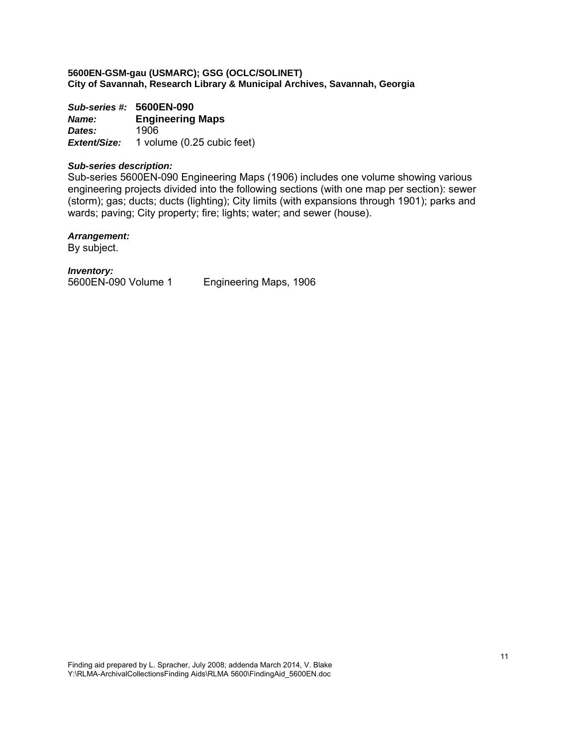*Sub-series #:* **5600EN-090** *Name:* **Engineering Maps**  *Dates:* 1906 *Extent/Size:* 1 volume (0.25 cubic feet)

# *Sub-series description:*

Sub-series 5600EN-090 Engineering Maps (1906) includes one volume showing various engineering projects divided into the following sections (with one map per section): sewer (storm); gas; ducts; ducts (lighting); City limits (with expansions through 1901); parks and wards; paving; City property; fire; lights; water; and sewer (house).

#### *Arrangement:*

By subject.

*Inventory:* 

5600EN-090 Volume 1 Engineering Maps, 1906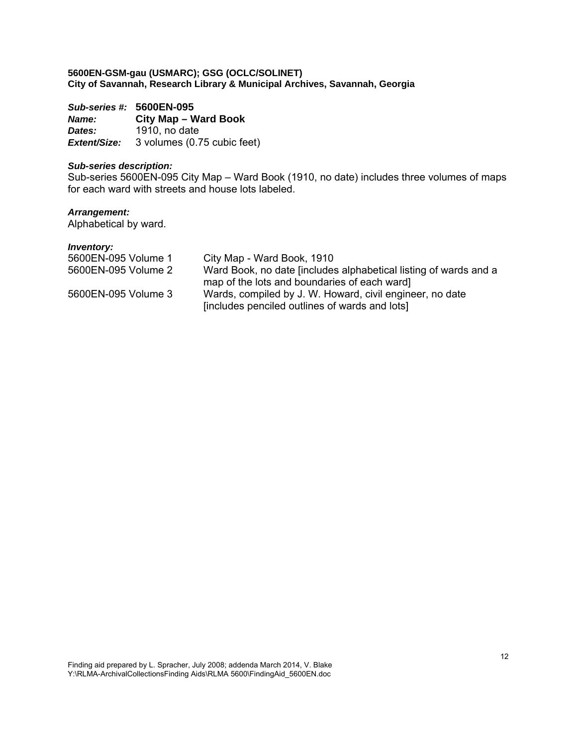*Sub-series #:* **5600EN-095** *Name:* **City Map – Ward Book**  *Dates:* 1910, no date *Extent/Size:* 3 volumes (0.75 cubic feet)

#### *Sub-series description:*

Sub-series 5600EN-095 City Map – Ward Book (1910, no date) includes three volumes of maps for each ward with streets and house lots labeled.

# *Arrangement:*

Alphabetical by ward.

| 5600EN-095 Volume 1 | City Map - Ward Book, 1910                                       |
|---------------------|------------------------------------------------------------------|
| 5600EN-095 Volume 2 | Ward Book, no date fincludes alphabetical listing of wards and a |
|                     | map of the lots and boundaries of each ward]                     |
| 5600EN-095 Volume 3 | Wards, compiled by J. W. Howard, civil engineer, no date         |
|                     | [includes penciled outlines of wards and lots]                   |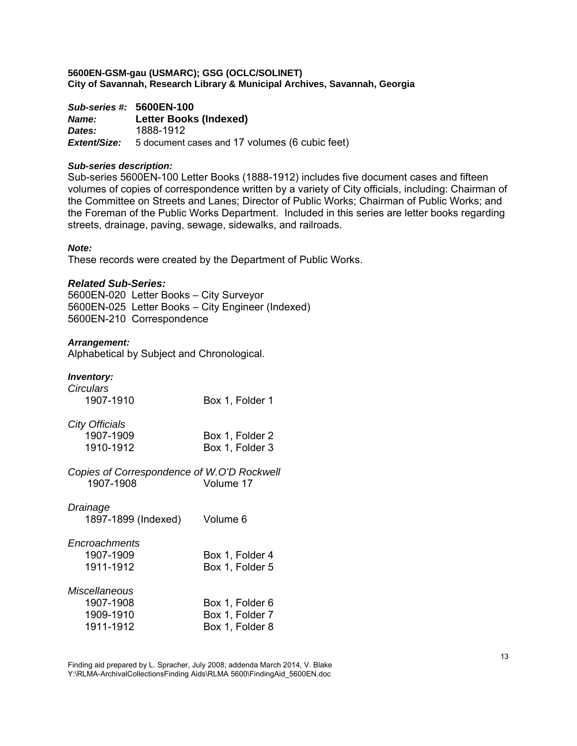*Sub-series #:* **5600EN-100** *Name:* **Letter Books (Indexed)**  *Dates:* 1888-1912 *Extent/Size:* 5 document cases and 17 volumes (6 cubic feet)

#### *Sub-series description:*

Sub-series 5600EN-100 Letter Books (1888-1912) includes five document cases and fifteen volumes of copies of correspondence written by a variety of City officials, including: Chairman of the Committee on Streets and Lanes; Director of Public Works; Chairman of Public Works; and the Foreman of the Public Works Department. Included in this series are letter books regarding streets, drainage, paving, sewage, sidewalks, and railroads.

#### *Note:*

These records were created by the Department of Public Works.

#### *Related Sub-Series:*

5600EN-020 Letter Books – City Surveyor 5600EN-025 Letter Books – City Engineer (Indexed) 5600EN-210 Correspondence

#### *Arrangement:*

Alphabetical by Subject and Chronological.

# *Inventory:*

| <b>Circulars</b>                           |                 |
|--------------------------------------------|-----------------|
| 1907-1910                                  | Box 1, Folder 1 |
| City Officials                             |                 |
| 1907-1909                                  | Box 1, Folder 2 |
| 1910-1912                                  | Box 1, Folder 3 |
| Copies of Correspondence of W.O'D Rockwell |                 |
| 1907-1908                                  | Volume 17       |
| Drainage                                   |                 |
| 1897-1899 (Indexed)                        | Volume 6        |
| Encroachments                              |                 |
| 1907-1909                                  | Box 1, Folder 4 |
| 1911-1912                                  | Box 1, Folder 5 |
| Miscellaneous                              |                 |
| 1907-1908                                  | Box 1, Folder 6 |
| 1909-1910                                  | Box 1, Folder 7 |
| 1911-1912                                  | Box 1, Folder 8 |
|                                            |                 |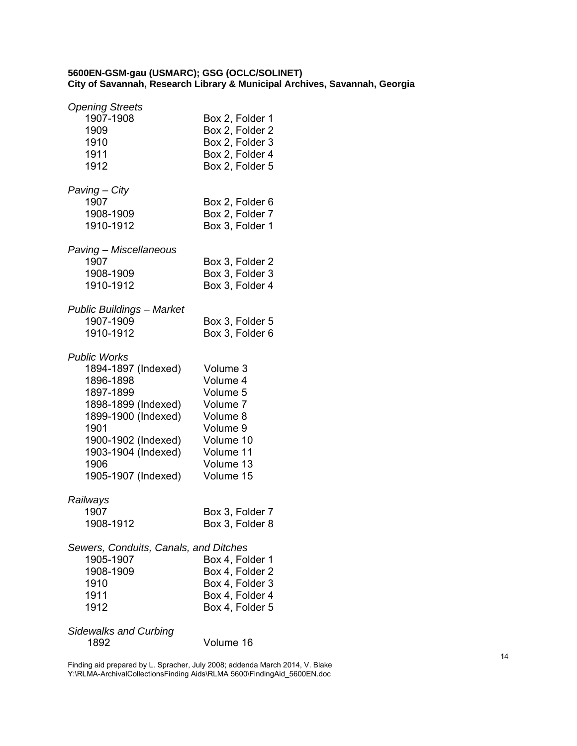| <b>Opening Streets</b><br>1907-1908<br>1909<br>1910<br>1911<br>1912                                                                                                                                     | Box 2, Folder 1<br>Box 2, Folder 2<br>Box 2, Folder 3<br>Box 2, Folder 4<br>Box 2, Folder 5                              |
|---------------------------------------------------------------------------------------------------------------------------------------------------------------------------------------------------------|--------------------------------------------------------------------------------------------------------------------------|
| Paving – City<br>1907<br>1908-1909<br>1910-1912                                                                                                                                                         | Box 2, Folder 6<br>Box 2, Folder 7<br>Box 3, Folder 1                                                                    |
| Paving - Miscellaneous<br>1907<br>1908-1909<br>1910-1912                                                                                                                                                | Box 3, Folder 2<br>Box 3, Folder 3<br>Box 3, Folder 4                                                                    |
| <b>Public Buildings - Market</b><br>1907-1909<br>1910-1912                                                                                                                                              | Box 3, Folder 5<br>Box 3, Folder 6                                                                                       |
| <b>Public Works</b><br>1894-1897 (Indexed)<br>1896-1898<br>1897-1899<br>1898-1899 (Indexed)<br>1899-1900 (Indexed)<br>1901<br>1900-1902 (Indexed)<br>1903-1904 (Indexed)<br>1906<br>1905-1907 (Indexed) | Volume 3<br>Volume 4<br>Volume 5<br>Volume 7<br>Volume 8<br>Volume 9<br>Volume 10<br>Volume 11<br>Volume 13<br>Volume 15 |
| Railways<br>1907<br>1908-1912                                                                                                                                                                           | Box 3, Folder 7<br>Box 3, Folder 8                                                                                       |
| Sewers, Conduits, Canals, and Ditches<br>1905-1907<br>1908-1909<br>1910<br>1911<br>1912                                                                                                                 | Box 4, Folder 1<br>Box 4, Folder 2<br>Box 4, Folder 3<br>Box 4, Folder 4<br>Box 4, Folder 5                              |
| <b>Sidewalks and Curbing</b><br>1892                                                                                                                                                                    | Volume 16                                                                                                                |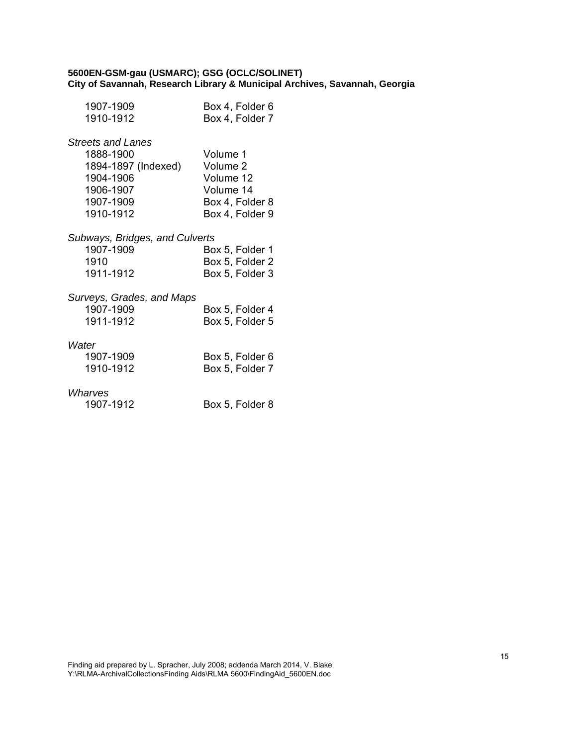| 1907-1909<br>1910-1912         | Box 4, Folder 6<br>Box 4, Folder 7 |
|--------------------------------|------------------------------------|
| <b>Streets and Lanes</b>       |                                    |
| 1888-1900                      | Volume 1                           |
| 1894-1897 (Indexed)            | Volume 2                           |
| 1904-1906                      | Volume 12                          |
| 1906-1907                      | Volume 14                          |
| 1907-1909                      | Box 4, Folder 8                    |
| 1910-1912                      | Box 4, Folder 9                    |
| Subways, Bridges, and Culverts |                                    |
| 1907-1909                      | Box 5, Folder 1                    |
| 1910                           | Box 5, Folder 2                    |
| 1911-1912                      | Box 5, Folder 3                    |
| Surveys, Grades, and Maps      |                                    |
| 1907-1909                      | Box 5, Folder 4                    |
| 1911-1912                      | Box 5, Folder 5                    |
| Water                          |                                    |
| 1907-1909                      | Box 5, Folder 6                    |
| 1910-1912                      | Box 5, Folder 7                    |
| Wharves                        |                                    |

1907-1912 Box 5, Folder 8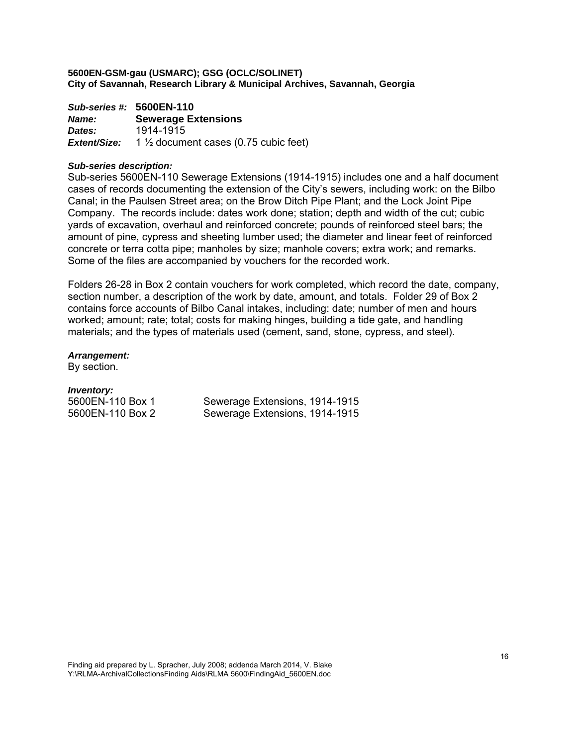*Sub-series #:* **5600EN-110** *Name:* **Sewerage Extensions**  *Dates:* 1914-1915 *Extent/Size:* 1 ½ document cases (0.75 cubic feet)

#### *Sub-series description:*

Sub-series 5600EN-110 Sewerage Extensions (1914-1915) includes one and a half document cases of records documenting the extension of the City's sewers, including work: on the Bilbo Canal; in the Paulsen Street area; on the Brow Ditch Pipe Plant; and the Lock Joint Pipe Company. The records include: dates work done; station; depth and width of the cut; cubic yards of excavation, overhaul and reinforced concrete; pounds of reinforced steel bars; the amount of pine, cypress and sheeting lumber used; the diameter and linear feet of reinforced concrete or terra cotta pipe; manholes by size; manhole covers; extra work; and remarks. Some of the files are accompanied by vouchers for the recorded work.

Folders 26-28 in Box 2 contain vouchers for work completed, which record the date, company, section number, a description of the work by date, amount, and totals. Folder 29 of Box 2 contains force accounts of Bilbo Canal intakes, including: date; number of men and hours worked; amount; rate; total; costs for making hinges, building a tide gate, and handling materials; and the types of materials used (cement, sand, stone, cypress, and steel).

#### *Arrangement:*

By section.

#### *Inventory:*

5600EN-110 Box 1 Sewerage Extensions, 1914-1915 5600EN-110 Box 2 Sewerage Extensions, 1914-1915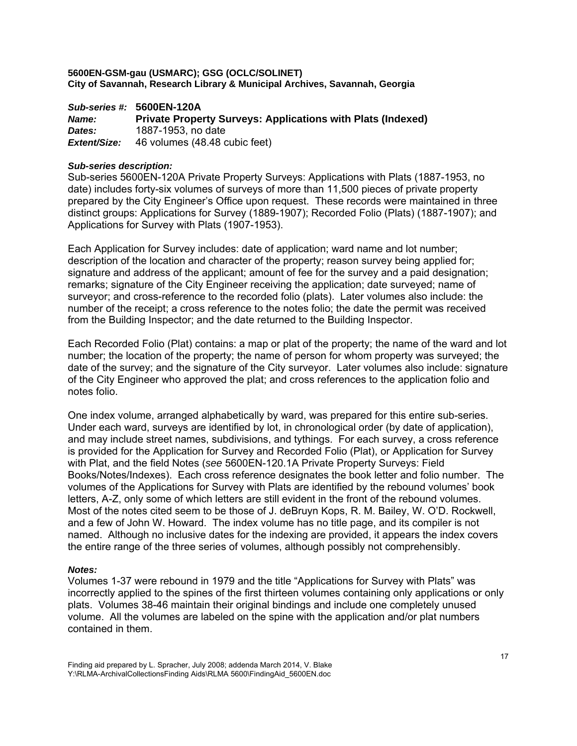*Sub-series #:* **5600EN-120A** *Name:* **Private Property Surveys: Applications with Plats (Indexed)**  *Dates:* 1887-1953, no date *Extent/Size:* 46 volumes (48.48 cubic feet)

#### *Sub-series description:*

Sub-series 5600EN-120A Private Property Surveys: Applications with Plats (1887-1953, no date) includes forty-six volumes of surveys of more than 11,500 pieces of private property prepared by the City Engineer's Office upon request. These records were maintained in three distinct groups: Applications for Survey (1889-1907); Recorded Folio (Plats) (1887-1907); and Applications for Survey with Plats (1907-1953).

Each Application for Survey includes: date of application; ward name and lot number; description of the location and character of the property; reason survey being applied for; signature and address of the applicant; amount of fee for the survey and a paid designation; remarks; signature of the City Engineer receiving the application; date surveyed; name of surveyor; and cross-reference to the recorded folio (plats). Later volumes also include: the number of the receipt; a cross reference to the notes folio; the date the permit was received from the Building Inspector; and the date returned to the Building Inspector.

Each Recorded Folio (Plat) contains: a map or plat of the property; the name of the ward and lot number; the location of the property; the name of person for whom property was surveyed; the date of the survey; and the signature of the City surveyor. Later volumes also include: signature of the City Engineer who approved the plat; and cross references to the application folio and notes folio.

One index volume, arranged alphabetically by ward, was prepared for this entire sub-series. Under each ward, surveys are identified by lot, in chronological order (by date of application), and may include street names, subdivisions, and tythings. For each survey, a cross reference is provided for the Application for Survey and Recorded Folio (Plat), or Application for Survey with Plat, and the field Notes (*see* 5600EN-120.1A Private Property Surveys: Field Books/Notes/Indexes). Each cross reference designates the book letter and folio number. The volumes of the Applications for Survey with Plats are identified by the rebound volumes' book letters, A-Z, only some of which letters are still evident in the front of the rebound volumes. Most of the notes cited seem to be those of J. deBruyn Kops, R. M. Bailey, W. O'D. Rockwell, and a few of John W. Howard. The index volume has no title page, and its compiler is not named. Although no inclusive dates for the indexing are provided, it appears the index covers the entire range of the three series of volumes, although possibly not comprehensibly.

#### *Notes:*

Volumes 1-37 were rebound in 1979 and the title "Applications for Survey with Plats" was incorrectly applied to the spines of the first thirteen volumes containing only applications or only plats. Volumes 38-46 maintain their original bindings and include one completely unused volume. All the volumes are labeled on the spine with the application and/or plat numbers contained in them.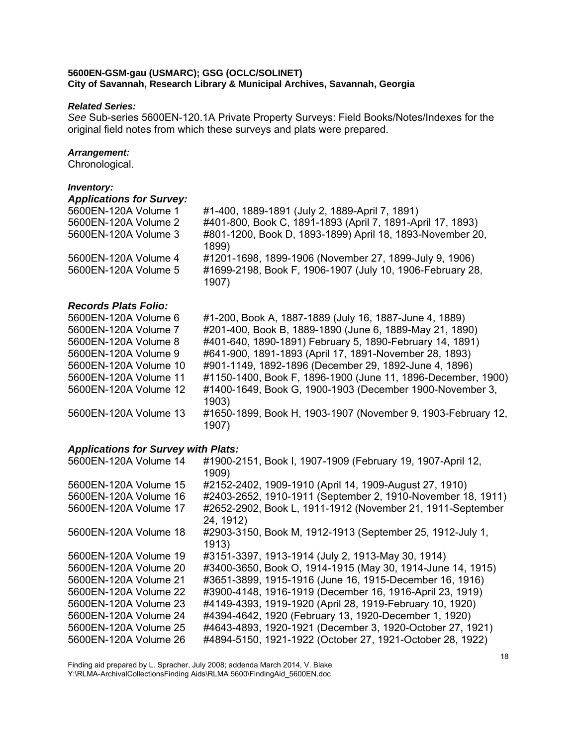#### *Related Series:*

*See* Sub-series 5600EN-120.1A Private Property Surveys: Field Books/Notes/Indexes for the original field notes from which these surveys and plats were prepared.

# *Arrangement:*

Chronological.

# *Inventory:*

| <b>Applications for Survey:</b><br>5600EN-120A Volume 1<br>5600EN-120A Volume 2<br>5600EN-120A Volume 3 | #1-400, 1889-1891 (July 2, 1889-April 7, 1891)<br>#401-800, Book C, 1891-1893 (April 7, 1891-April 17, 1893)<br>#801-1200, Book D, 1893-1899) April 18, 1893-November 20, |
|---------------------------------------------------------------------------------------------------------|---------------------------------------------------------------------------------------------------------------------------------------------------------------------------|
|                                                                                                         | 1899)                                                                                                                                                                     |
| 5600EN-120A Volume 4                                                                                    | #1201-1698, 1899-1906 (November 27, 1899-July 9, 1906)                                                                                                                    |
| 5600EN-120A Volume 5                                                                                    | #1699-2198, Book F, 1906-1907 (July 10, 1906-February 28,<br>1907)                                                                                                        |
| <b>Records Plats Folio:</b>                                                                             |                                                                                                                                                                           |

| 5600EN-120A Volume 6  | #1-200, Book A, 1887-1889 (July 16, 1887-June 4, 1889)                |
|-----------------------|-----------------------------------------------------------------------|
| 5600EN-120A Volume 7  | #201-400, Book B, 1889-1890 (June 6, 1889-May 21, 1890)               |
| 5600EN-120A Volume 8  | #401-640, 1890-1891) February 5, 1890-February 14, 1891)              |
| 5600EN-120A Volume 9  | #641-900, 1891-1893 (April 17, 1891-November 28, 1893)                |
| 5600EN-120A Volume 10 | #901-1149, 1892-1896 (December 29, 1892-June 4, 1896)                 |
| 5600EN-120A Volume 11 | #1150-1400, Book F, 1896-1900 (June 11, 1896-December, 1900)          |
| 5600EN-120A Volume 12 | #1400-1649, Book G, 1900-1903 (December 1900-November 3,<br>1903)     |
| 5600EN-120A Volume 13 | #1650-1899, Book H, 1903-1907 (November 9, 1903-February 12,<br>1907) |

# *Applications for Survey with Plats:*

| #1900-2151, Book I, 1907-1909 (February 19, 1907-April 12,<br>1909)     |
|-------------------------------------------------------------------------|
| #2152-2402, 1909-1910 (April 14, 1909-August 27, 1910)                  |
| #2403-2652, 1910-1911 (September 2, 1910-November 18, 1911)             |
| #2652-2902, Book L, 1911-1912 (November 21, 1911-September<br>24, 1912) |
| #2903-3150, Book M, 1912-1913 (September 25, 1912-July 1,<br>1913)      |
| #3151-3397, 1913-1914 (July 2, 1913-May 30, 1914)                       |
| #3400-3650, Book O, 1914-1915 (May 30, 1914-June 14, 1915)              |
| #3651-3899, 1915-1916 (June 16, 1915-December 16, 1916)                 |
| #3900-4148, 1916-1919 (December 16, 1916-April 23, 1919)                |
| #4149-4393, 1919-1920 (April 28, 1919-February 10, 1920)                |
| #4394-4642, 1920 (February 13, 1920-December 1, 1920)                   |
| #4643-4893, 1920-1921 (December 3, 1920-October 27, 1921)               |
| #4894-5150, 1921-1922 (October 27, 1921-October 28, 1922)               |
|                                                                         |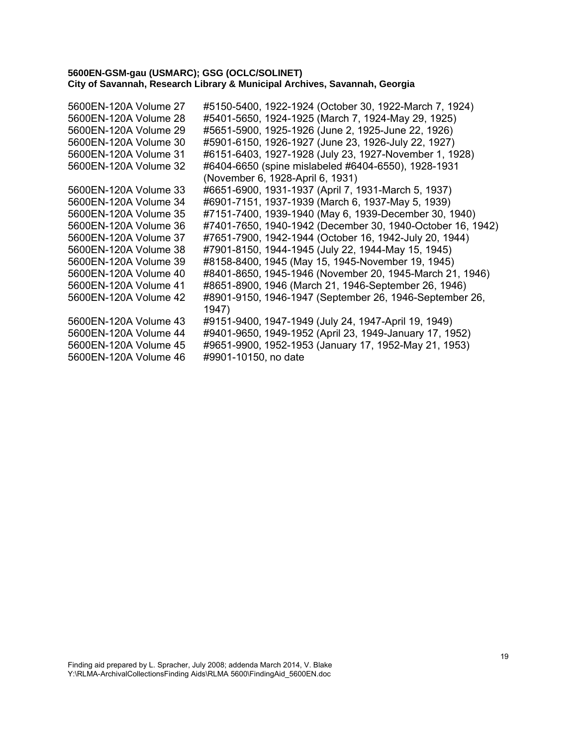| 5600EN-120A Volume 27 | #5150-5400, 1922-1924 (October 30, 1922-March 7, 1924)     |
|-----------------------|------------------------------------------------------------|
| 5600EN-120A Volume 28 | #5401-5650, 1924-1925 (March 7, 1924-May 29, 1925)         |
| 5600EN-120A Volume 29 | #5651-5900, 1925-1926 (June 2, 1925-June 22, 1926)         |
| 5600EN-120A Volume 30 | #5901-6150, 1926-1927 (June 23, 1926-July 22, 1927)        |
| 5600EN-120A Volume 31 | #6151-6403, 1927-1928 (July 23, 1927-November 1, 1928)     |
| 5600EN-120A Volume 32 | #6404-6650 (spine mislabeled #6404-6550), 1928-1931        |
|                       | (November 6, 1928-April 6, 1931)                           |
| 5600EN-120A Volume 33 | #6651-6900, 1931-1937 (April 7, 1931-March 5, 1937)        |
| 5600EN-120A Volume 34 | #6901-7151, 1937-1939 (March 6, 1937-May 5, 1939)          |
| 5600EN-120A Volume 35 | #7151-7400, 1939-1940 (May 6, 1939-December 30, 1940)      |
| 5600EN-120A Volume 36 | #7401-7650, 1940-1942 (December 30, 1940-October 16, 1942) |
| 5600EN-120A Volume 37 | #7651-7900, 1942-1944 (October 16, 1942-July 20, 1944)     |
| 5600EN-120A Volume 38 | #7901-8150, 1944-1945 (July 22, 1944-May 15, 1945)         |
| 5600EN-120A Volume 39 | #8158-8400, 1945 (May 15, 1945-November 19, 1945)          |
| 5600EN-120A Volume 40 | #8401-8650, 1945-1946 (November 20, 1945-March 21, 1946)   |
| 5600EN-120A Volume 41 | #8651-8900, 1946 (March 21, 1946-September 26, 1946)       |
| 5600EN-120A Volume 42 | #8901-9150, 1946-1947 (September 26, 1946-September 26,    |
|                       | 1947)                                                      |
| 5600EN-120A Volume 43 | #9151-9400, 1947-1949 (July 24, 1947-April 19, 1949)       |
| 5600EN-120A Volume 44 | #9401-9650, 1949-1952 (April 23, 1949-January 17, 1952)    |
| 5600EN-120A Volume 45 | #9651-9900, 1952-1953 (January 17, 1952-May 21, 1953)      |
| 5600EN-120A Volume 46 | #9901-10150, no date                                       |
|                       |                                                            |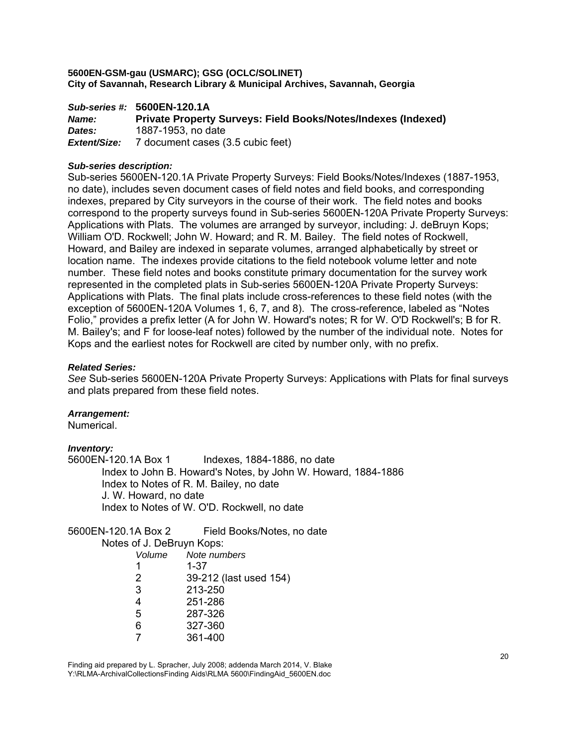|              | Sub-series #: 5600EN-120.1A                                          |  |
|--------------|----------------------------------------------------------------------|--|
| <i>Name:</i> | <b>Private Property Surveys: Field Books/Notes/Indexes (Indexed)</b> |  |
| Dates:       | 1887-1953, no date                                                   |  |
| Extent/Size: | 7 document cases (3.5 cubic feet)                                    |  |

#### *Sub-series description:*

Sub-series 5600EN-120.1A Private Property Surveys: Field Books/Notes/Indexes (1887-1953, no date), includes seven document cases of field notes and field books, and corresponding indexes, prepared by City surveyors in the course of their work. The field notes and books correspond to the property surveys found in Sub-series 5600EN-120A Private Property Surveys: Applications with Plats. The volumes are arranged by surveyor, including: J. deBruyn Kops; William O'D. Rockwell; John W. Howard; and R. M. Bailey. The field notes of Rockwell, Howard, and Bailey are indexed in separate volumes, arranged alphabetically by street or location name. The indexes provide citations to the field notebook volume letter and note number. These field notes and books constitute primary documentation for the survey work represented in the completed plats in Sub-series 5600EN-120A Private Property Surveys: Applications with Plats. The final plats include cross-references to these field notes (with the exception of 5600EN-120A Volumes 1, 6, 7, and 8). The cross-reference, labeled as "Notes Folio," provides a prefix letter (A for John W. Howard's notes; R for W. O'D Rockwell's; B for R. M. Bailey's; and F for loose-leaf notes) followed by the number of the individual note. Notes for Kops and the earliest notes for Rockwell are cited by number only, with no prefix.

#### *Related Series:*

*See* Sub-series 5600EN-120A Private Property Surveys: Applications with Plats for final surveys and plats prepared from these field notes.

#### *Arrangement:*

Numerical.

# *Inventory:*

5600EN-120.1A Box 1 Indexes, 1884-1886, no date Index to John B. Howard's Notes, by John W. Howard, 1884-1886 Index to Notes of R. M. Bailey, no date J. W. Howard, no date Index to Notes of W. O'D. Rockwell, no date

# 5600EN-120.1A Box 2 Field Books/Notes, no date

Notes of J. DeBruyn Kops:

| Volume | Note numbers           |
|--------|------------------------|
| 1      | $1 - 37$               |
| 2      | 39-212 (last used 154) |
| 3      | 213-250                |
| 4      | 251-286                |
| 5      | 287-326                |
| 6      | 327-360                |
| 7      | 361-400                |
|        |                        |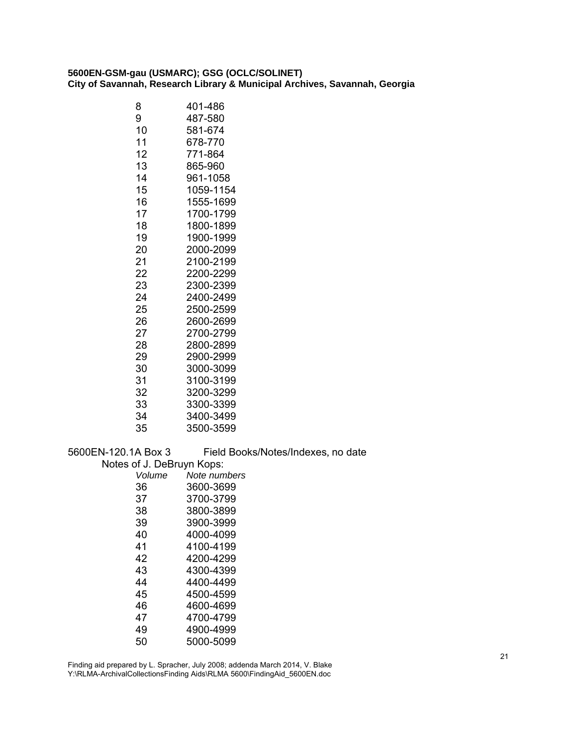| 401-486   |
|-----------|
| 487-580   |
| 581-674   |
| 678-770   |
| 771-864   |
| 865-960   |
| 961-1058  |
| 1059-1154 |
| 1555-1699 |
| 1700-1799 |
| 1800-1899 |
| 1900-1999 |
| 2000-2099 |
| 2100-2199 |
| 2200-2299 |
| 2300-2399 |
| 2400-2499 |
| 2500-2599 |
| 2600-2699 |
| 2700-2799 |
| 2800-2899 |
| 2900-2999 |
| 3000-3099 |
| 3100-3199 |
| 3200-3299 |
| 3300-3399 |
| 3400-3499 |
| 3500-3599 |
|           |

5600EN-120.1A Box 3 Field Books/Notes/Indexes, no date

Notes of J. DeBruyn Kops:

| Volume | Note numbers |
|--------|--------------|
| 36     | 3600-3699    |
| 37     | 3700-3799    |
| 38     | 3800-3899    |
| 39     | 3900-3999    |
| 40     | 4000-4099    |
| 41     | 4100-4199    |
| 42     | 4200-4299    |
| 43     | 4300-4399    |
| 44     | 4400-4499    |
| 45     | 4500-4599    |
| 46     | 4600-4699    |
| 47     | 4700-4799    |
| 49     | 4900-4999    |
| 50     | 5000-5099    |
|        |              |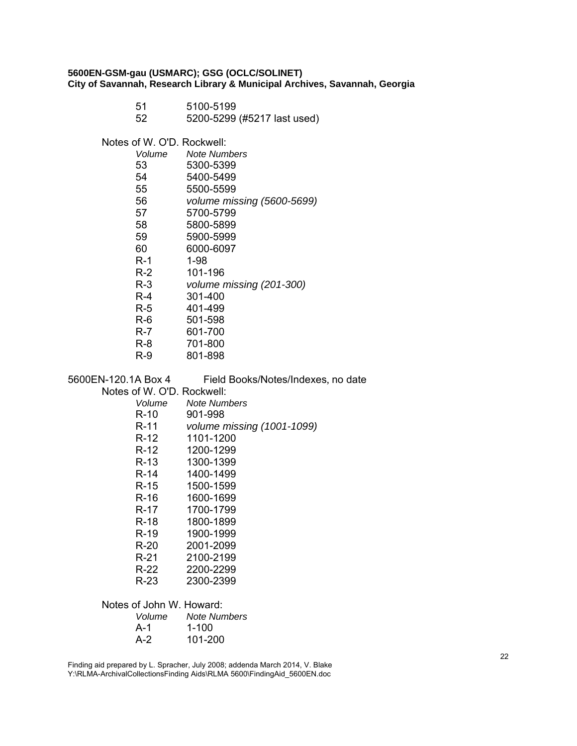- 51 5100-5199
	- 52 5200-5299 (#5217 last used)

Notes of W. O'D. Rockwell:

| Volume | Note Numbers               |
|--------|----------------------------|
| 53     | 5300-5399                  |
| 54     | 5400-5499                  |
| 55     | 5500-5599                  |
| 56     | volume missing (5600-5699) |
| 57     | 5700-5799                  |
| 58     | 5800-5899                  |
| 59     | 5900-5999                  |
| 60     | 6000-6097                  |
| R-1    | 1-98                       |
| R-2    | 101-196                    |
| R-3    | volume missing (201-300)   |
| $R-4$  | 301-400                    |
| R-5    | 401-499                    |
| R-6    | 501-598                    |
| R-7    | 601-700                    |
| R-8    | 701-800                    |
| R-9    | 801-898                    |

| 5600EN-120.1A Box 4        | Field Books/Notes/Indexes, no date |
|----------------------------|------------------------------------|
| Notes of W. O'D. Rockwell: |                                    |
| Volume                     | <b>Note Numbers</b>                |
| R-10                       | 901-998                            |
| R-11                       | volume missing (1001-1099)         |
| R-12                       | 1101-1200                          |
| R-12                       | 1200-1299                          |
| R-13                       | 1300-1399                          |
| R-14                       | 1400-1499                          |
| R-15                       | 1500-1599                          |
| R-16                       | 1600-1699                          |
| R-17                       | 1700-1799                          |
| R-18                       | 1800-1899                          |
| R-19                       | 1900-1999                          |
| R-20                       | 2001-2099                          |
| R-21                       | 2100-2199                          |
| R-22                       | 2200-2299                          |
| R-23                       | 2300-2399                          |
| Notes of John W. Howard:   |                                    |

| Volume | <b>Note Numbers</b> |
|--------|---------------------|
| A-1    | $1 - 100$           |
| $A-2$  | 101-200             |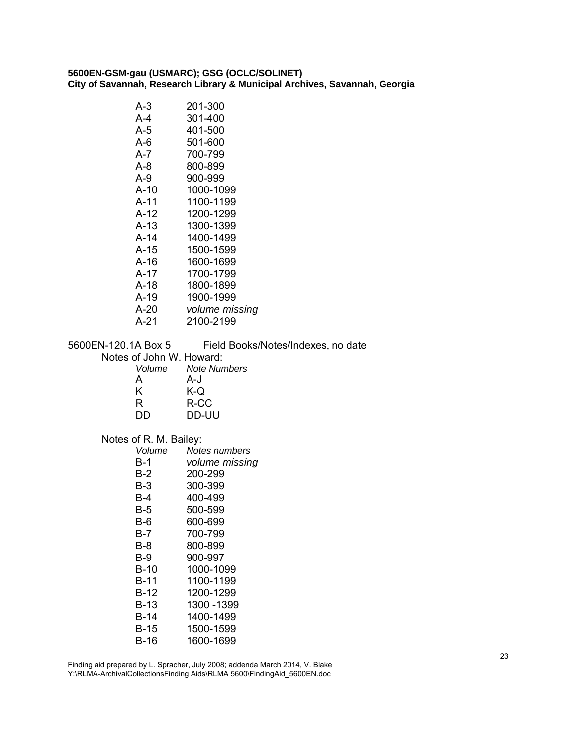| $A-10$<br>1000-1099<br>$A-11$<br>1100-1199<br>$A-12$<br>1200-1299 |  |
|-------------------------------------------------------------------|--|
| A-13<br>1300-1399<br>A-14<br>1400-1499                            |  |
| A-15<br>1500-1599                                                 |  |
| A-16<br>1600-1699                                                 |  |
| A-17<br>1700-1799                                                 |  |
| A-18<br>1800-1899                                                 |  |
| A-19<br>1900-1999                                                 |  |
| A-20<br>volume missing                                            |  |
| A-21<br>2100-2199                                                 |  |
| 5600EN-120.1A Box 5<br>Field Books/Notes/Indexes, no date         |  |
| Notes of John W. Howard:<br>Volume<br><b>Note Numbers</b>         |  |
| A-J<br>A                                                          |  |
| Κ<br>K-Q                                                          |  |
| R<br>R-CC                                                         |  |
| DD<br>DD-UU                                                       |  |
| Notes of R. M. Bailey:                                            |  |
| Notes numbers<br>Volume                                           |  |
| $B-1$<br>volume missing                                           |  |
| $B-2$<br>200-299                                                  |  |
| $B-3$<br>300-399<br>B-4<br>400-499                                |  |
| $B-5$<br>500-599                                                  |  |
| $B-6$<br>600-699                                                  |  |
| $B-7$<br>700-799                                                  |  |
| $B-8$<br>800-899                                                  |  |
| $B-9$<br>900-997                                                  |  |
| $B-10$<br>1000-1099                                               |  |
| $B-11$<br>1100-1199                                               |  |
| $B-12$<br>1200-1299                                               |  |
| $B-13$<br>1300 - 1399<br>$B-14$<br>1400-1499                      |  |
| 1500-1599<br>$B-15$                                               |  |
| $B-16$<br>1600-1699                                               |  |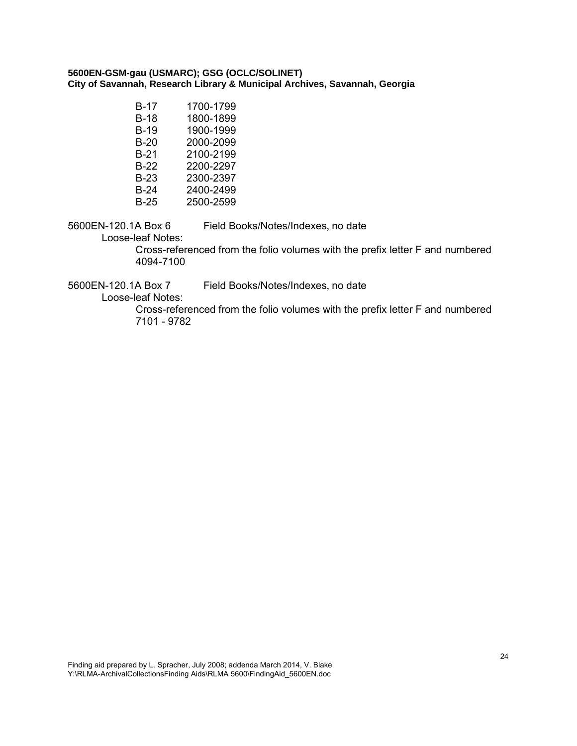| B-17   | 1700-1799 |
|--------|-----------|
| B-18   | 1800-1899 |
| B-19   | 1900-1999 |
| B-20   | 2000-2099 |
| B-21   | 2100-2199 |
| B-22   | 2200-2297 |
| B-23   | 2300-2397 |
| $B-24$ | 2400-2499 |
| B-25   | 2500-2599 |

5600EN-120.1A Box 6 Field Books/Notes/Indexes, no date

Loose-leaf Notes:

Cross-referenced from the folio volumes with the prefix letter F and numbered 4094-7100

5600EN-120.1A Box 7 Field Books/Notes/Indexes, no date

Loose-leaf Notes:

Cross-referenced from the folio volumes with the prefix letter F and numbered 7101 - 9782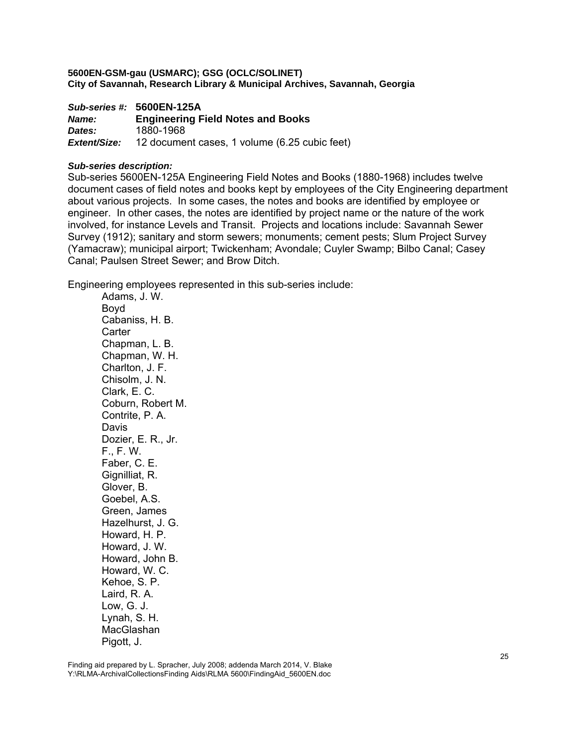*Sub-series #:* **5600EN-125A** *Name:* **Engineering Field Notes and Books**  *Dates:* 1880-1968 *Extent/Size:* 12 document cases, 1 volume (6.25 cubic feet)

#### *Sub-series description:*

Sub-series 5600EN-125A Engineering Field Notes and Books (1880-1968) includes twelve document cases of field notes and books kept by employees of the City Engineering department about various projects. In some cases, the notes and books are identified by employee or engineer. In other cases, the notes are identified by project name or the nature of the work involved, for instance Levels and Transit. Projects and locations include: Savannah Sewer Survey (1912); sanitary and storm sewers; monuments; cement pests; Slum Project Survey (Yamacraw); municipal airport; Twickenham; Avondale; Cuyler Swamp; Bilbo Canal; Casey Canal; Paulsen Street Sewer; and Brow Ditch.

Engineering employees represented in this sub-series include:

Adams, J. W. Boyd Cabaniss, H. B. **Carter** Chapman, L. B. Chapman, W. H. Charlton, J. F. Chisolm, J. N. Clark, E. C. Coburn, Robert M. Contrite, P. A. Davis Dozier, E. R., Jr. F., F. W. Faber, C. E. Gignilliat, R. Glover, B. Goebel, A.S. Green, James Hazelhurst, J. G. Howard, H. P. Howard, J. W. Howard, John B. Howard, W. C. Kehoe, S. P. Laird, R. A. Low, G. J. Lynah, S. H. MacGlashan Pigott, J.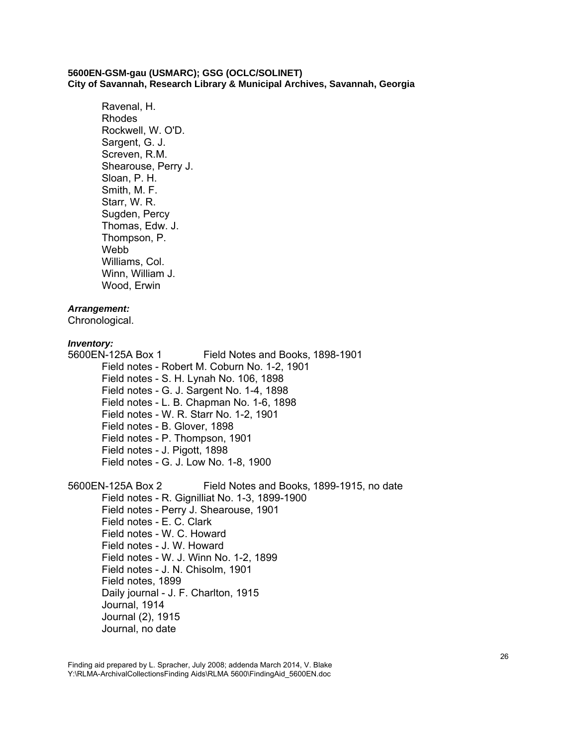Ravenal, H. Rhodes Rockwell, W. O'D. Sargent, G. J. Screven, R.M. Shearouse, Perry J. Sloan, P. H. Smith, M. F. Starr, W. R. Sugden, Percy Thomas, Edw. J. Thompson, P. Webb Williams, Col. Winn, William J. Wood, Erwin

#### *Arrangement:*

Chronological.

#### *Inventory:*

5600EN-125A Box 1 Field Notes and Books, 1898-1901 Field notes - Robert M. Coburn No. 1-2, 1901 Field notes - S. H. Lynah No. 106, 1898 Field notes - G. J. Sargent No. 1-4, 1898 Field notes - L. B. Chapman No. 1-6, 1898 Field notes - W. R. Starr No. 1-2, 1901 Field notes - B. Glover, 1898 Field notes - P. Thompson, 1901 Field notes - J. Pigott, 1898 Field notes - G. J. Low No. 1-8, 1900

5600EN-125A Box 2 Field Notes and Books, 1899-1915, no date Field notes - R. Gignilliat No. 1-3, 1899-1900 Field notes - Perry J. Shearouse, 1901 Field notes - E. C. Clark Field notes - W. C. Howard Field notes - J. W. Howard Field notes - W. J. Winn No. 1-2, 1899 Field notes - J. N. Chisolm, 1901 Field notes, 1899 Daily journal - J. F. Charlton, 1915 Journal, 1914 Journal (2), 1915 Journal, no date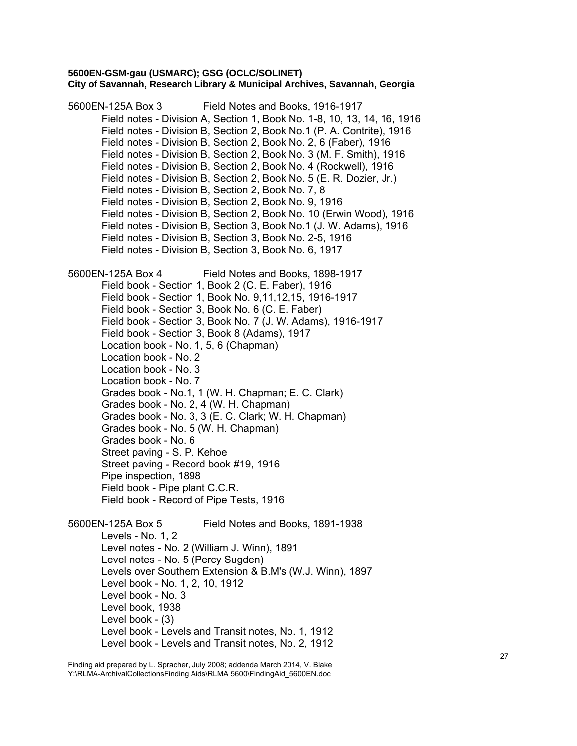5600EN-125A Box 3 Field Notes and Books, 1916-1917 Field notes - Division A, Section 1, Book No. 1-8, 10, 13, 14, 16, 1916 Field notes - Division B, Section 2, Book No.1 (P. A. Contrite), 1916 Field notes - Division B, Section 2, Book No. 2, 6 (Faber), 1916 Field notes - Division B, Section 2, Book No. 3 (M. F. Smith), 1916 Field notes - Division B, Section 2, Book No. 4 (Rockwell), 1916 Field notes - Division B, Section 2, Book No. 5 (E. R. Dozier, Jr.) Field notes - Division B, Section 2, Book No. 7, 8 Field notes - Division B, Section 2, Book No. 9, 1916 Field notes - Division B, Section 2, Book No. 10 (Erwin Wood), 1916 Field notes - Division B, Section 3, Book No.1 (J. W. Adams), 1916 Field notes - Division B, Section 3, Book No. 2-5, 1916 Field notes - Division B, Section 3, Book No. 6, 1917 5600EN-125A Box 4 Field Notes and Books, 1898-1917 Field book - Section 1, Book 2 (C. E. Faber), 1916 Field book - Section 1, Book No. 9,11,12,15, 1916-1917 Field book - Section 3, Book No. 6 (C. E. Faber) Field book - Section 3, Book No. 7 (J. W. Adams), 1916-1917 Field book - Section 3, Book 8 (Adams), 1917 Location book - No. 1, 5, 6 (Chapman) Location book - No. 2 Location book - No. 3 Location book - No. 7 Grades book - No.1, 1 (W. H. Chapman; E. C. Clark) Grades book - No. 2, 4 (W. H. Chapman) Grades book - No. 3, 3 (E. C. Clark; W. H. Chapman) Grades book - No. 5 (W. H. Chapman) Grades book - No. 6 Street paving - S. P. Kehoe Street paving - Record book #19, 1916 Pipe inspection, 1898 Field book - Pipe plant C.C.R. Field book - Record of Pipe Tests, 1916 5600EN-125A Box 5 Field Notes and Books, 1891-1938 Levels - No. 1, 2 Level notes - No. 2 (William J. Winn), 1891 Level notes - No. 5 (Percy Sugden) Levels over Southern Extension & B.M's (W.J. Winn), 1897 Level book - No. 1, 2, 10, 1912 Level book - No. 3 Level book, 1938 Level book - (3) Level book - Levels and Transit notes, No. 1, 1912 Level book - Levels and Transit notes, No. 2, 1912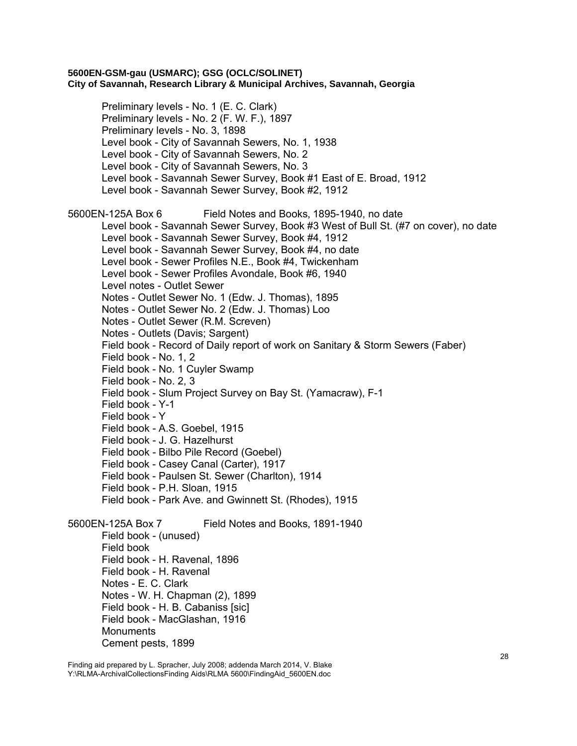Preliminary levels - No. 1 (E. C. Clark) Preliminary levels - No. 2 (F. W. F.), 1897 Preliminary levels - No. 3, 1898 Level book - City of Savannah Sewers, No. 1, 1938 Level book - City of Savannah Sewers, No. 2 Level book - City of Savannah Sewers, No. 3 Level book - Savannah Sewer Survey, Book #1 East of E. Broad, 1912 Level book - Savannah Sewer Survey, Book #2, 1912 5600EN-125A Box 6 Field Notes and Books, 1895-1940, no date Level book - Savannah Sewer Survey, Book #3 West of Bull St. (#7 on cover), no date Level book - Savannah Sewer Survey, Book #4, 1912 Level book - Savannah Sewer Survey, Book #4, no date Level book - Sewer Profiles N.E., Book #4, Twickenham Level book - Sewer Profiles Avondale, Book #6, 1940 Level notes - Outlet Sewer Notes - Outlet Sewer No. 1 (Edw. J. Thomas), 1895 Notes - Outlet Sewer No. 2 (Edw. J. Thomas) Loo Notes - Outlet Sewer (R.M. Screven) Notes - Outlets (Davis; Sargent) Field book - Record of Daily report of work on Sanitary & Storm Sewers (Faber) Field book - No. 1, 2 Field book - No. 1 Cuyler Swamp Field book - No. 2, 3 Field book - Slum Project Survey on Bay St. (Yamacraw), F-1 Field book - Y-1 Field book - Y Field book - A.S. Goebel, 1915 Field book - J. G. Hazelhurst Field book - Bilbo Pile Record (Goebel) Field book - Casey Canal (Carter), 1917 Field book - Paulsen St. Sewer (Charlton), 1914 Field book - P.H. Sloan, 1915 Field book - Park Ave. and Gwinnett St. (Rhodes), 1915 5600EN-125A Box 7 Field Notes and Books, 1891-1940 Field book - (unused) Field book Field book - H. Ravenal, 1896 Field book - H. Ravenal Notes - E. C. Clark Notes - W. H. Chapman (2), 1899 Field book - H. B. Cabaniss [sic] Field book - MacGlashan, 1916 **Monuments** 

Cement pests, 1899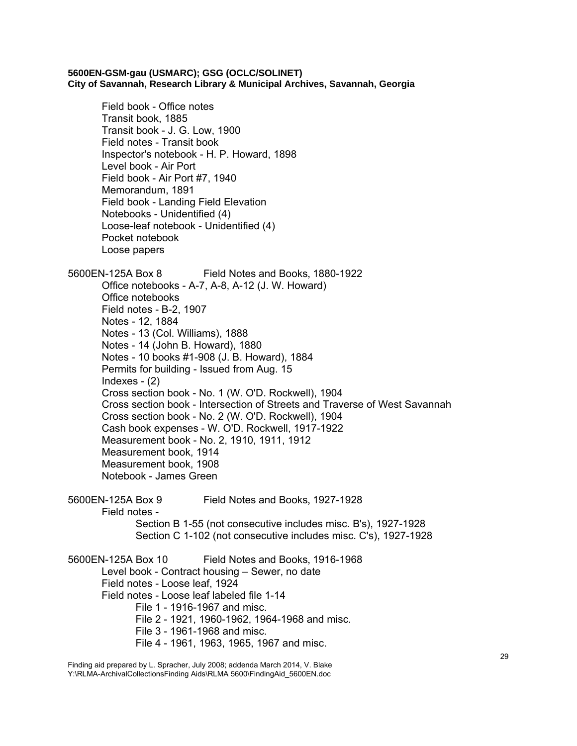Field book - Office notes Transit book, 1885 Transit book - J. G. Low, 1900 Field notes - Transit book Inspector's notebook - H. P. Howard, 1898 Level book - Air Port Field book - Air Port #7, 1940 Memorandum, 1891 Field book - Landing Field Elevation Notebooks - Unidentified (4) Loose-leaf notebook - Unidentified (4) Pocket notebook Loose papers 5600EN-125A Box 8 Field Notes and Books, 1880-1922 Office notebooks - A-7, A-8, A-12 (J. W. Howard) Office notebooks Field notes - B-2, 1907 Notes - 12, 1884 Notes - 13 (Col. Williams), 1888 Notes - 14 (John B. Howard), 1880 Notes - 10 books #1-908 (J. B. Howard), 1884 Permits for building - Issued from Aug. 15 Indexes  $-$  (2) Cross section book - No. 1 (W. O'D. Rockwell), 1904 Cross section book - Intersection of Streets and Traverse of West Savannah Cross section book - No. 2 (W. O'D. Rockwell), 1904 Cash book expenses - W. O'D. Rockwell, 1917-1922 Measurement book - No. 2, 1910, 1911, 1912 Measurement book, 1914 Measurement book, 1908 Notebook - James Green 5600EN-125A Box 9 Field Notes and Books, 1927-1928 Field notes - Section B 1-55 (not consecutive includes misc. B's), 1927-1928 Section C 1-102 (not consecutive includes misc. C's), 1927-1928 5600EN-125A Box 10 Field Notes and Books, 1916-1968 Level book - Contract housing – Sewer, no date Field notes - Loose leaf, 1924 Field notes - Loose leaf labeled file 1-14 File 1 - 1916-1967 and misc. File 2 - 1921, 1960-1962, 1964-1968 and misc. File 3 - 1961-1968 and misc. File 4 - 1961, 1963, 1965, 1967 and misc.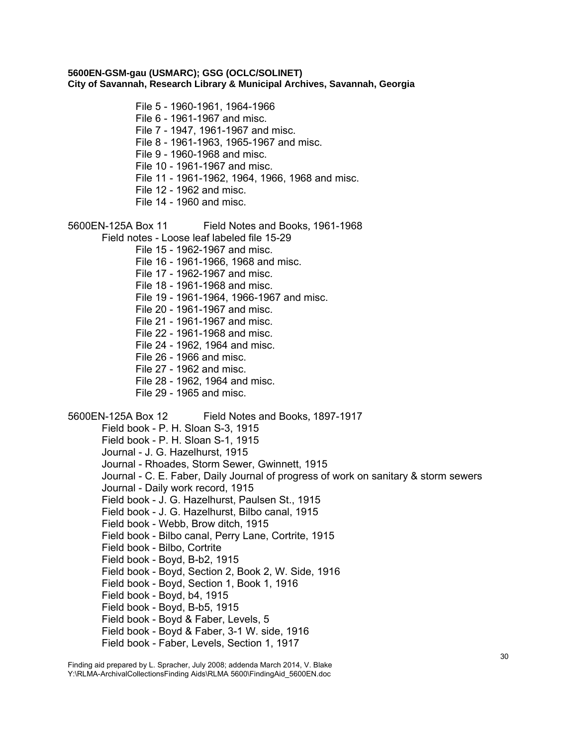File 5 - 1960-1961, 1964-1966

File 6 - 1961-1967 and misc.

File 7 - 1947, 1961-1967 and misc.

File 8 - 1961-1963, 1965-1967 and misc.

File 9 - 1960-1968 and misc.

File 10 - 1961-1967 and misc.

File 11 - 1961-1962, 1964, 1966, 1968 and misc.

File 12 - 1962 and misc.

File 14 - 1960 and misc.

5600EN-125A Box 11 Field Notes and Books, 1961-1968

Field notes - Loose leaf labeled file 15-29

File 15 - 1962-1967 and misc.

File 16 - 1961-1966, 1968 and misc.

File 17 - 1962-1967 and misc.

File 18 - 1961-1968 and misc.

File 19 - 1961-1964, 1966-1967 and misc.

File 20 - 1961-1967 and misc.

File 21 - 1961-1967 and misc.

File 22 - 1961-1968 and misc.

File 24 - 1962, 1964 and misc.

File 26 - 1966 and misc.

File 27 - 1962 and misc.

File 28 - 1962, 1964 and misc.

File 29 - 1965 and misc.

5600EN-125A Box 12 Field Notes and Books, 1897-1917

Field book - P. H. Sloan S-3, 1915

Field book - P. H. Sloan S-1, 1915

Journal - J. G. Hazelhurst, 1915

Journal - Rhoades, Storm Sewer, Gwinnett, 1915

Journal - C. E. Faber, Daily Journal of progress of work on sanitary & storm sewers

Journal - Daily work record, 1915

Field book - J. G. Hazelhurst, Paulsen St., 1915

Field book - J. G. Hazelhurst, Bilbo canal, 1915

Field book - Webb, Brow ditch, 1915

Field book - Bilbo canal, Perry Lane, Cortrite, 1915

Field book - Bilbo, Cortrite

Field book - Boyd, B-b2, 1915

Field book - Boyd, Section 2, Book 2, W. Side, 1916

Field book - Boyd, Section 1, Book 1, 1916

Field book - Boyd, b4, 1915

Field book - Boyd, B-b5, 1915

Field book - Boyd & Faber, Levels, 5

Field book - Boyd & Faber, 3-1 W. side, 1916

Field book - Faber, Levels, Section 1, 1917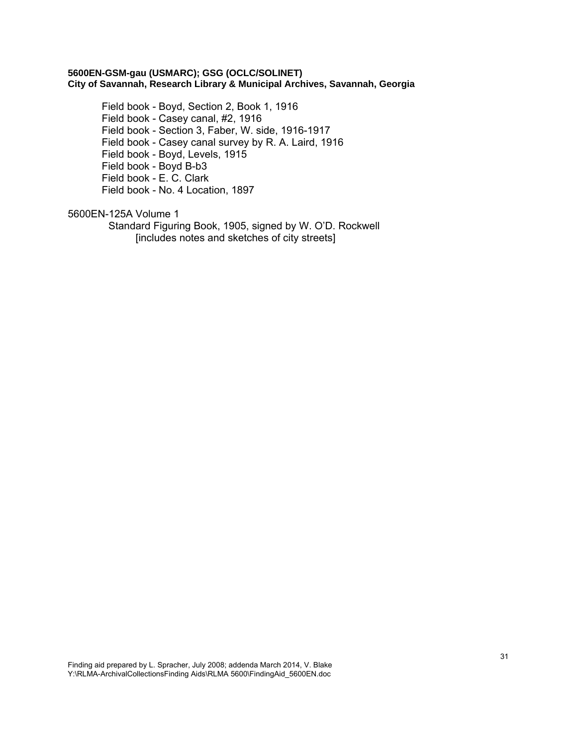Field book - Boyd, Section 2, Book 1, 1916 Field book - Casey canal, #2, 1916 Field book - Section 3, Faber, W. side, 1916-1917 Field book - Casey canal survey by R. A. Laird, 1916 Field book - Boyd, Levels, 1915 Field book - Boyd B-b3 Field book - E. C. Clark Field book - No. 4 Location, 1897

# 5600EN-125A Volume 1

Standard Figuring Book, 1905, signed by W. O'D. Rockwell [includes notes and sketches of city streets]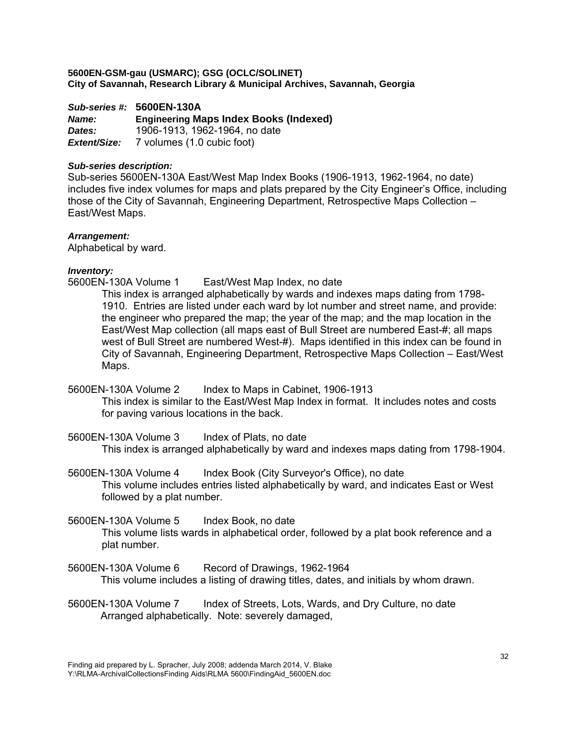*Sub-series #:* **5600EN-130A** *Name:* **Engineering Maps Index Books (Indexed)**  *Dates:* 1906-1913, 1962-1964, no date *Extent/Size:* 7 volumes (1.0 cubic foot)

# *Sub-series description:*

Sub-series 5600EN-130A East/West Map Index Books (1906-1913, 1962-1964, no date) includes five index volumes for maps and plats prepared by the City Engineer's Office, including those of the City of Savannah, Engineering Department, Retrospective Maps Collection – East/West Maps.

# *Arrangement:*

Alphabetical by ward.

# *Inventory:*

5600EN-130A Volume 1 East/West Map Index, no date

This index is arranged alphabetically by wards and indexes maps dating from 1798- 1910. Entries are listed under each ward by lot number and street name, and provide: the engineer who prepared the map; the year of the map; and the map location in the East/West Map collection (all maps east of Bull Street are numbered East-#; all maps west of Bull Street are numbered West-#). Maps identified in this index can be found in City of Savannah, Engineering Department, Retrospective Maps Collection – East/West Maps.

5600EN-130A Volume 2 Index to Maps in Cabinet, 1906-1913 This index is similar to the East/West Map Index in format. It includes notes and costs for paving various locations in the back.

5600EN-130A Volume 3 Index of Plats, no date This index is arranged alphabetically by ward and indexes maps dating from 1798-1904.

5600EN-130A Volume 4 Index Book (City Surveyor's Office), no date This volume includes entries listed alphabetically by ward, and indicates East or West followed by a plat number.

5600EN-130A Volume 5 Index Book, no date

This volume lists wards in alphabetical order, followed by a plat book reference and a plat number.

- 5600EN-130A Volume 6 Record of Drawings, 1962-1964 This volume includes a listing of drawing titles, dates, and initials by whom drawn.
- 5600EN-130A Volume 7 Index of Streets, Lots, Wards, and Dry Culture, no date Arranged alphabetically. Note: severely damaged,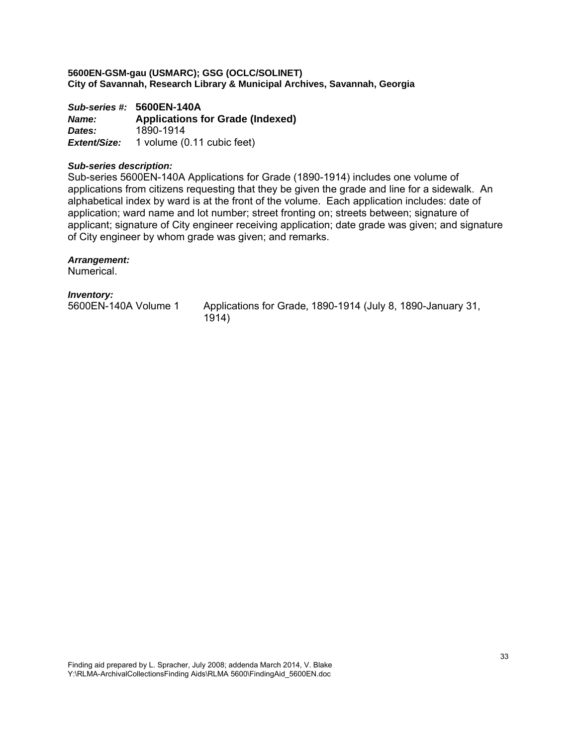*Sub-series #:* **5600EN-140A** *Name:* **Applications for Grade (Indexed)**  *Dates:* 1890-1914 *Extent/Size:* 1 volume (0.11 cubic feet)

#### *Sub-series description:*

Sub-series 5600EN-140A Applications for Grade (1890-1914) includes one volume of applications from citizens requesting that they be given the grade and line for a sidewalk. An alphabetical index by ward is at the front of the volume. Each application includes: date of application; ward name and lot number; street fronting on; streets between; signature of applicant; signature of City engineer receiving application; date grade was given; and signature of City engineer by whom grade was given; and remarks.

#### *Arrangement:*

**Numerical** 

# *Inventory:*

5600EN-140A Volume 1 Applications for Grade, 1890-1914 (July 8, 1890-January 31, 1914)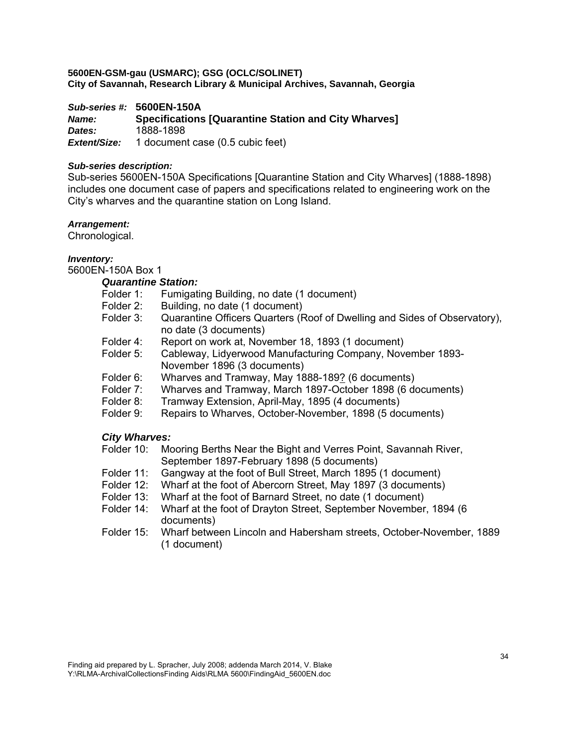*Sub-series #:* **5600EN-150A** *Name:* **Specifications [Quarantine Station and City Wharves]**  *Dates:* 1888-1898 *Extent/Size:* 1 document case (0.5 cubic feet)

#### *Sub-series description:*

Sub-series 5600EN-150A Specifications [Quarantine Station and City Wharves] (1888-1898) includes one document case of papers and specifications related to engineering work on the City's wharves and the quarantine station on Long Island.

#### *Arrangement:*

Chronological.

#### *Inventory:*

5600EN-150A Box 1

# *Quarantine Station:*

- Folder 1: Fumigating Building, no date (1 document)<br>Folder 2: Building, no date (1 document)
- Building, no date (1 document)
- Folder 3: Quarantine Officers Quarters (Roof of Dwelling and Sides of Observatory), no date (3 documents)
- Folder 4: Report on work at, November 18, 1893 (1 document)
- Folder 5: Cableway, Lidyerwood Manufacturing Company, November 1893- November 1896 (3 documents)
- Folder 6: Wharves and Tramway, May 1888-189? (6 documents)<br>Folder 7: Wharves and Tramway, March 1897-October 1898 (6 do
- Wharves and Tramway, March 1897-October 1898 (6 documents)
- Folder 8: Tramway Extension, April-May, 1895 (4 documents)
- Folder 9: Repairs to Wharves, October-November, 1898 (5 documents)

# *City Wharves:*

- Folder 10: Mooring Berths Near the Bight and Verres Point, Savannah River, September 1897-February 1898 (5 documents)
- Folder 11: Gangway at the foot of Bull Street, March 1895 (1 document)
- Folder 12: Wharf at the foot of Abercorn Street, May 1897 (3 documents)
- Folder 13: Wharf at the foot of Barnard Street, no date (1 document)
- Folder 14: Wharf at the foot of Drayton Street, September November, 1894 (6 documents)
- Folder 15: Wharf between Lincoln and Habersham streets, October-November, 1889 (1 document)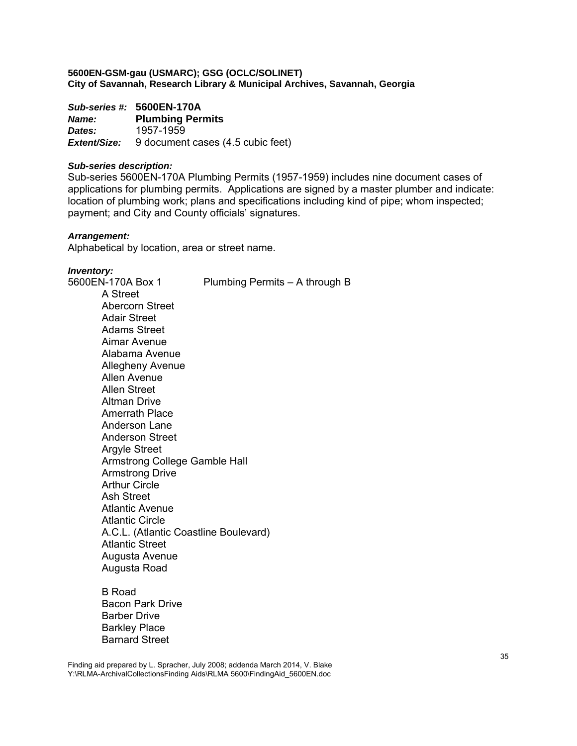*Sub-series #:* **5600EN-170A** *Name:* **Plumbing Permits**  *Dates:* 1957-1959 *Extent/Size:* 9 document cases (4.5 cubic feet)

#### *Sub-series description:*

Sub-series 5600EN-170A Plumbing Permits (1957-1959) includes nine document cases of applications for plumbing permits. Applications are signed by a master plumber and indicate: location of plumbing work; plans and specifications including kind of pipe; whom inspected; payment; and City and County officials' signatures.

#### *Arrangement:*

Alphabetical by location, area or street name.

#### *Inventory:*

5600EN-170A Box 1 Plumbing Permits – A through B A Street Abercorn Street Adair Street Adams Street Aimar Avenue Alabama Avenue Allegheny Avenue Allen Avenue Allen Street Altman Drive Amerrath Place Anderson Lane Anderson Street Argyle Street Armstrong College Gamble Hall Armstrong Drive Arthur Circle Ash Street Atlantic Avenue Atlantic Circle A.C.L. (Atlantic Coastline Boulevard) Atlantic Street Augusta Avenue Augusta Road

> B Road Bacon Park Drive Barber Drive Barkley Place Barnard Street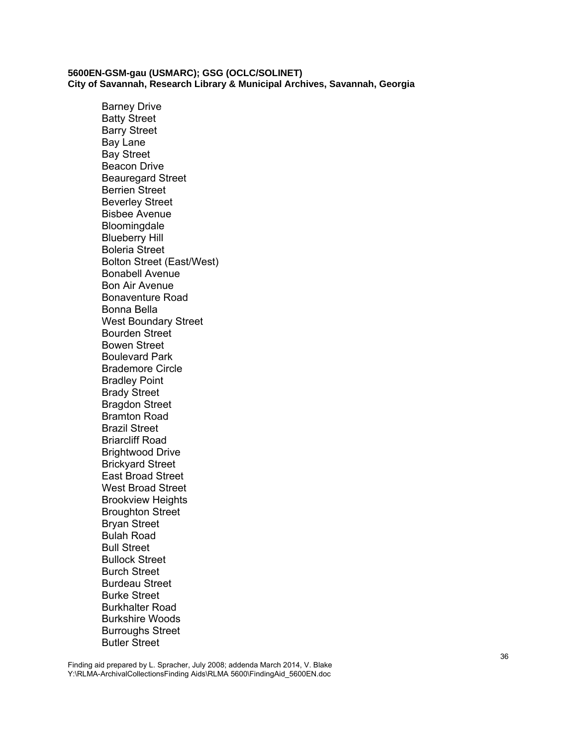Barney Drive Batty Street Barry Street Bay Lane Bay Street Beacon Drive Beauregard Street Berrien Street Beverley Street Bisbee Avenue **Bloomingdale** Blueberry Hill Boleria Street Bolton Street (East/West) Bonabell Avenue Bon Air Avenue Bonaventure Road Bonna Bella West Boundary Street Bourden Street Bowen Street Boulevard Park Brademore Circle Bradley Point Brady Street Bragdon Street Bramton Road Brazil Street Briarcliff Road Brightwood Drive Brickyard Street East Broad Street West Broad Street Brookview Heights Broughton Street Bryan Street Bulah Road Bull Street Bullock Street Burch Street Burdeau Street Burke Street Burkhalter Road Burkshire Woods Burroughs Street Butler Street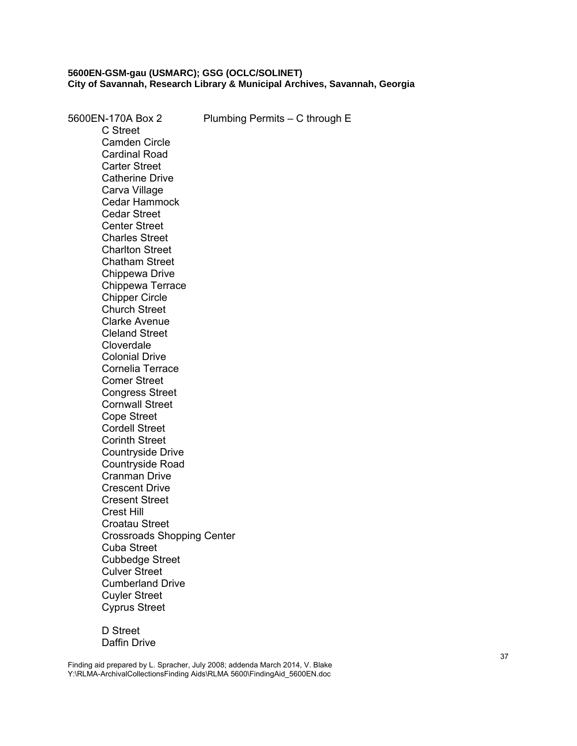5600EN-170A Box 2 Plumbing Permits – C through E C Street Camden Circle Cardinal Road Carter Street Catherine Drive Carva Village Cedar Hammock Cedar Street Center Street Charles Street Charlton Street Chatham Street Chippewa Drive Chippewa Terrace Chipper Circle Church Street Clarke Avenue Cleland Street **Cloverdale** Colonial Drive Cornelia Terrace Comer Street Congress Street Cornwall Street Cope Street Cordell Street Corinth Street Countryside Drive Countryside Road Cranman Drive Crescent Drive Cresent Street Crest Hill Croatau Street Crossroads Shopping Center Cuba Street Cubbedge Street Culver Street Cumberland Drive Cuyler Street Cyprus Street

> D Street Daffin Drive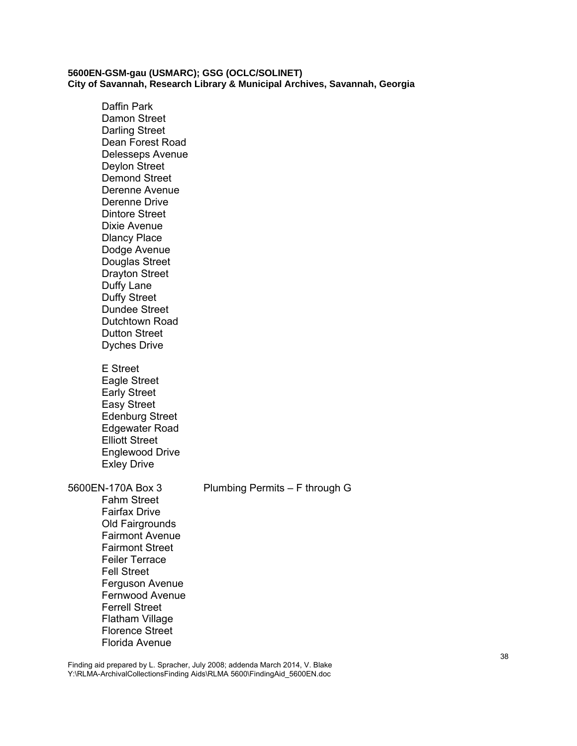Daffin Park Damon Street Darling Street Dean Forest Road Delesseps Avenue Deylon Street Demond Street Derenne Avenue Derenne Drive Dintore Street Dixie Avenue Dlancy Place Dodge Avenue Douglas Street Drayton Street Duffy Lane Duffy Street Dundee Street Dutchtown Road Dutton Street Dyches Drive E Street Eagle Street Early Street Easy Street Edenburg Street Edgewater Road Elliott Street Englewood Drive Exley Drive 5600EN-170A Box 3 Plumbing Permits – F through G Fahm Street Fairfax Drive Old Fairgrounds Fairmont Avenue Fairmont Street Feiler Terrace Fell Street Ferguson Avenue Fernwood Avenue Ferrell Street Flatham Village Florence Street

Florida Avenue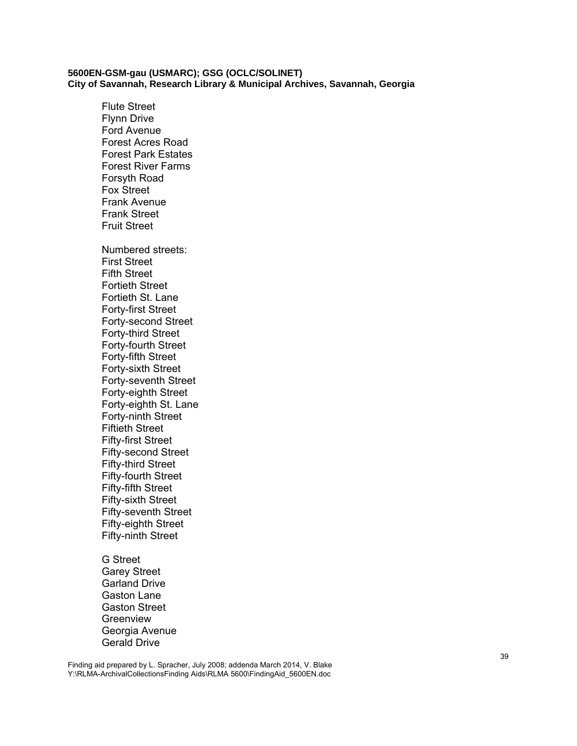Flute Street Flynn Drive Ford Avenue Forest Acres Road Forest Park Estates Forest River Farms Forsyth Road Fox Street Frank Avenue Frank Street Fruit Street Numbered streets: First Street Fifth Street Fortieth Street Fortieth St. Lane Forty-first Street Forty-second Street Forty-third Street Forty-fourth Street Forty-fifth Street Forty-sixth Street Forty-seventh Street Forty-eighth Street Forty-eighth St. Lane Forty-ninth Street Fiftieth Street Fifty-first Street Fifty-second Street Fifty-third Street Fifty-fourth Street Fifty-fifth Street Fifty-sixth Street Fifty-seventh Street Fifty-eighth Street Fifty-ninth Street

G Street Garey Street Garland Drive Gaston Lane Gaston Street Greenview Georgia Avenue Gerald Drive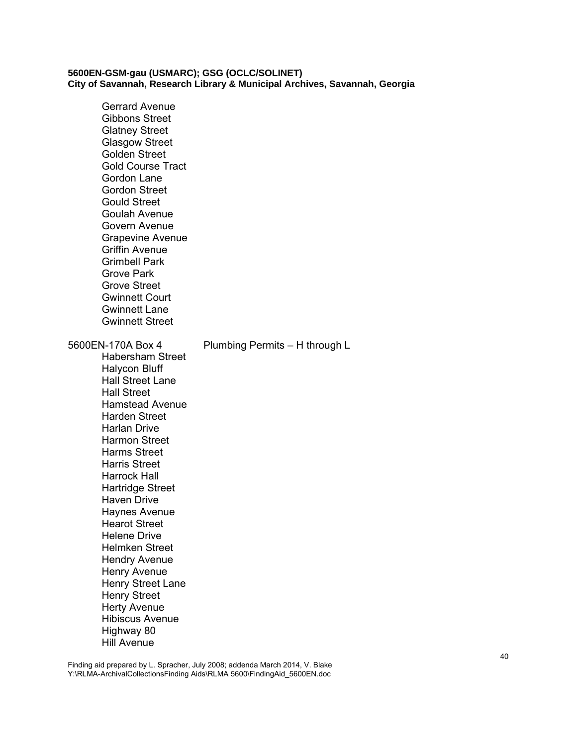Gerrard Avenue Gibbons Street Glatney Street Glasgow Street Golden Street Gold Course Tract Gordon Lane Gordon Street Gould Street Goulah Avenue Govern Avenue Grapevine Avenue Griffin Avenue Grimbell Park Grove Park Grove Street Gwinnett Court Gwinnett Lane Gwinnett Street 5600EN-170A Box 4 Plumbing Permits – H through L Habersham Street Halycon Bluff Hall Street Lane Hall Street Hamstead Avenue Harden Street Harlan Drive Harmon Street Harms Street Harris Street Harrock Hall Hartridge Street Haven Drive Haynes Avenue Hearot Street Helene Drive Helmken Street Hendry Avenue Henry Avenue Henry Street Lane Henry Street Herty Avenue Hibiscus Avenue Highway 80 Hill Avenue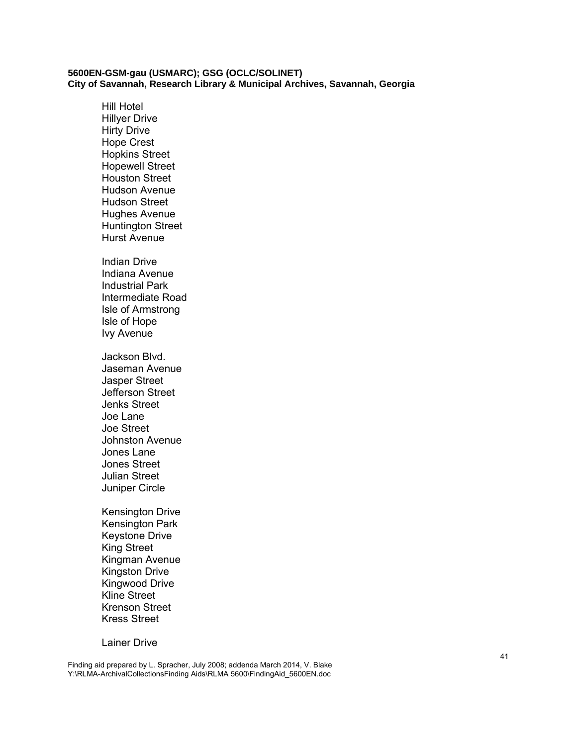Hill Hotel Hillyer Drive Hirty Drive Hope Crest Hopkins Street Hopewell Street Houston Street Hudson Avenue Hudson Street Hughes Avenue Huntington Street Hurst Avenue Indian Drive Indiana Avenue Industrial Park Intermediate Road Isle of Armstrong Isle of Hope Ivy Avenue Jackson Blvd. Jaseman Avenue Jasper Street Jefferson Street Jenks Street Joe Lane Joe Street Johnston Avenue

Jones Lane Jones Street Julian Street Juniper Circle

Kensington Drive Kensington Park Keystone Drive King Street Kingman Avenue Kingston Drive Kingwood Drive Kline Street Krenson Street Kress Street

Lainer Drive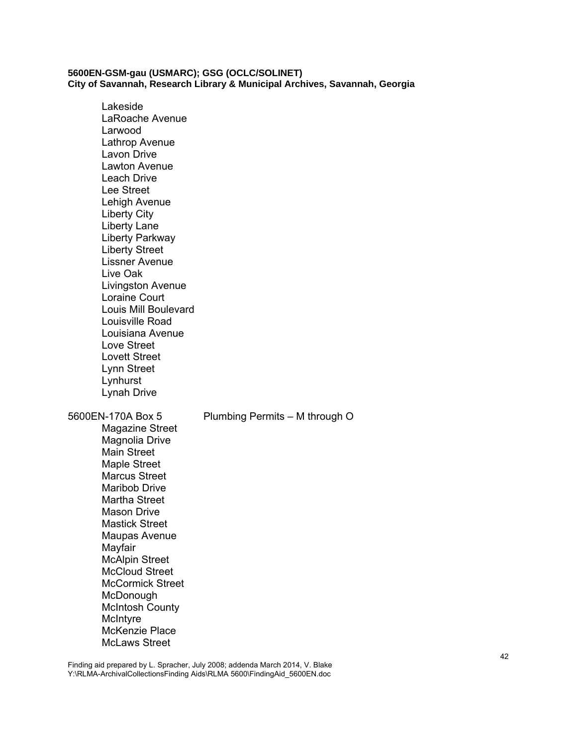Lakeside LaRoache Avenue Larwood Lathrop Avenue Lavon Drive Lawton Avenue Leach Drive Lee Street Lehigh Avenue Liberty City Liberty Lane Liberty Parkway Liberty Street Lissner Avenue Live Oak Livingston Avenue Loraine Court Louis Mill Boulevard Louisville Road Louisiana Avenue Love Street Lovett Street Lynn Street Lynhurst Lynah Drive 5600EN-170A Box 5 Plumbing Permits – M through O Magazine Street Magnolia Drive Main Street Maple Street Marcus Street Maribob Drive Martha Street Mason Drive Mastick Street Maupas Avenue Mayfair McAlpin Street McCloud Street McCormick Street McDonough McIntosh County **McIntyre** McKenzie Place McLaws Street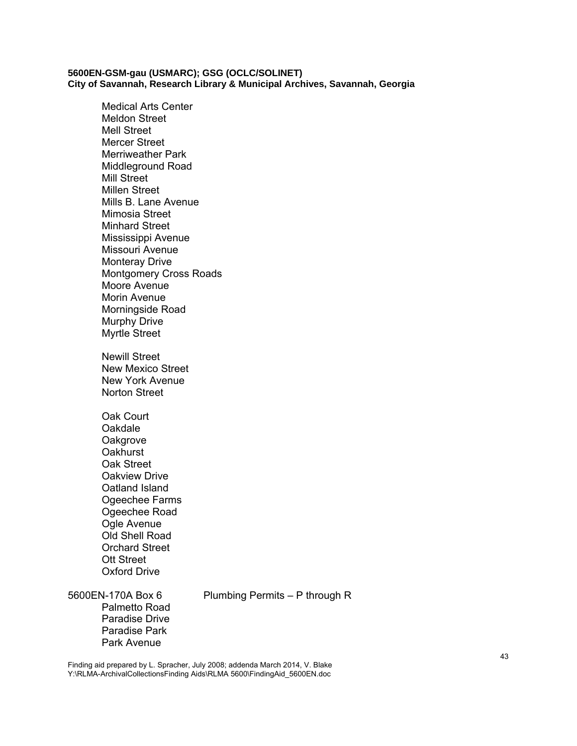Medical Arts Center Meldon Street Mell Street Mercer Street Merriweather Park Middleground Road Mill Street Millen Street Mills B. Lane Avenue Mimosia Street Minhard Street Mississippi Avenue Missouri Avenue Monteray Drive Montgomery Cross Roads Moore Avenue Morin Avenue Morningside Road Murphy Drive Myrtle Street Newill Street New Mexico Street New York Avenue Norton Street Oak Court Oakdale **Oakgrove Oakhurst** Oak Street Oakview Drive Oatland Island Ogeechee Farms Ogeechee Road Ogle Avenue Old Shell Road Orchard Street Ott Street Oxford Drive

Palmetto Road Paradise Drive Paradise Park Park Avenue

5600EN-170A Box 6 Plumbing Permits – P through R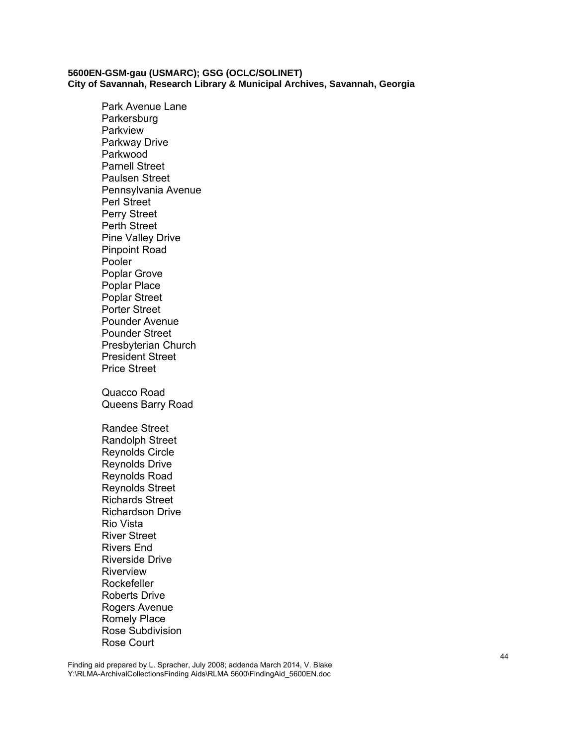Park Avenue Lane **Parkersburg** Parkview Parkway Drive Parkwood Parnell Street Paulsen Street Pennsylvania Avenue Perl Street Perry Street Perth Street Pine Valley Drive Pinpoint Road Pooler Poplar Grove Poplar Place Poplar Street Porter Street Pounder Avenue Pounder Street Presbyterian Church President Street Price Street Quacco Road Queens Barry Road Randee Street Randolph Street Reynolds Circle Reynolds Drive Reynolds Road Reynolds Street Richards Street Richardson Drive Rio Vista River Street Rivers End Riverside Drive Riverview Rockefeller Roberts Drive Rogers Avenue Romely Place Rose Subdivision Rose Court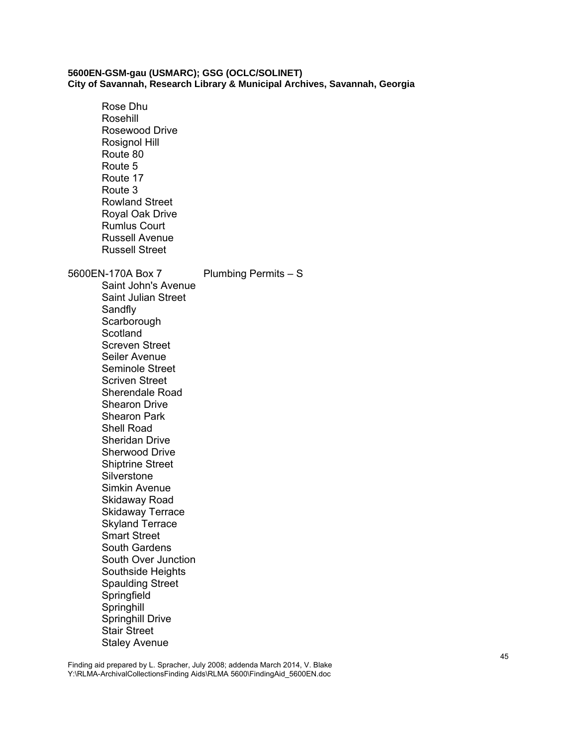Rose Dhu Rosehill Rosewood Drive Rosignol Hill Route 80 Route 5 Route 17 Route 3 Rowland Street Royal Oak Drive Rumlus Court Russell Avenue Russell Street 5600EN-170A Box 7 Plumbing Permits – S Saint John's Avenue Saint Julian Street **Sandfly Scarborough Scotland** Screven Street Seiler Avenue Seminole Street Scriven Street Sherendale Road Shearon Drive Shearon Park Shell Road Sheridan Drive Sherwood Drive Shiptrine Street **Silverstone** Simkin Avenue Skidaway Road Skidaway Terrace Skyland Terrace Smart Street South Gardens South Over Junction Southside Heights Spaulding Street **Springfield Springhill** Springhill Drive Stair Street Staley Avenue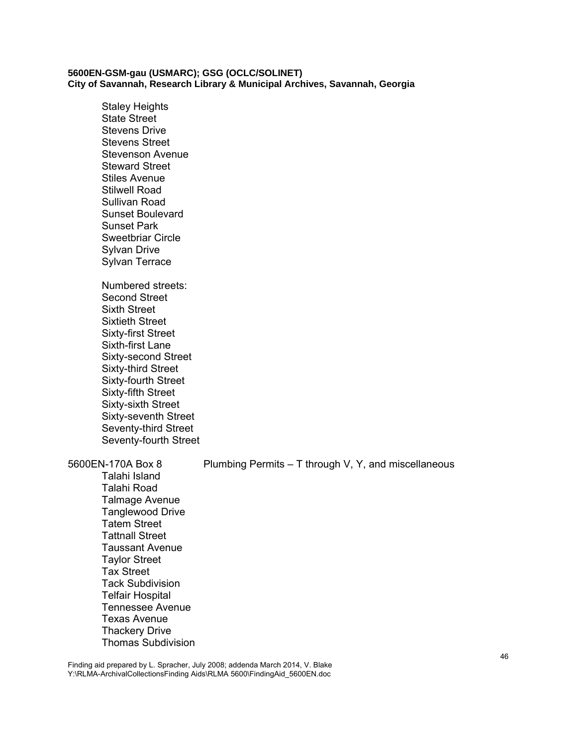Staley Heights State Street Stevens Drive Stevens Street Stevenson Avenue Steward Street Stiles Avenue Stilwell Road Sullivan Road Sunset Boulevard Sunset Park Sweetbriar Circle Sylvan Drive Sylvan Terrace Numbered streets: Second Street Sixth Street Sixtieth Street Sixty-first Street Sixth-first Lane Sixty-second Street Sixty-third Street Sixty-fourth Street Sixty-fifth Street Sixty-sixth Street Sixty-seventh Street Seventy-third Street Seventy-fourth Street

5600EN-170A Box 8 Plumbing Permits – T through V, Y, and miscellaneous

Talahi Island Talahi Road Talmage Avenue Tanglewood Drive Tatem Street Tattnall Street Taussant Avenue Taylor Street Tax Street Tack Subdivision Telfair Hospital Tennessee Avenue Texas Avenue Thackery Drive Thomas Subdivision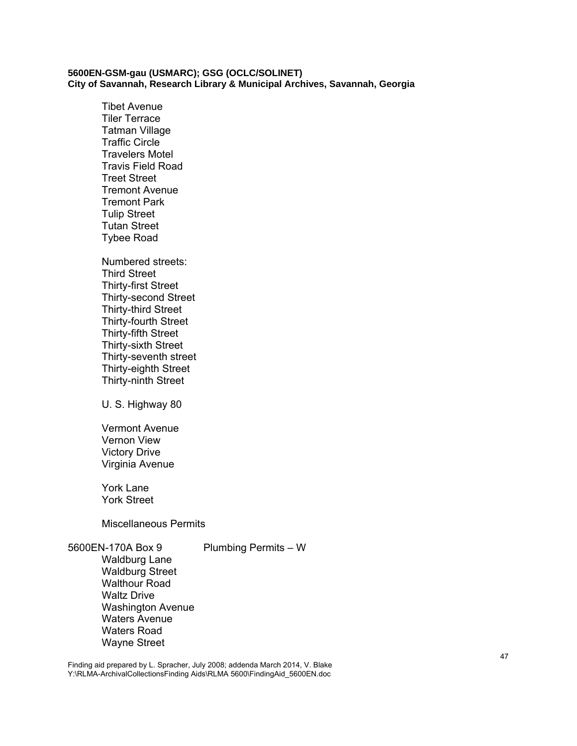Tibet Avenue Tiler Terrace Tatman Village Traffic Circle Travelers Motel Travis Field Road Treet Street Tremont Avenue Tremont Park Tulip Street Tutan Street Tybee Road

Numbered streets: Third Street Thirty-first Street Thirty-second Street Thirty-third Street Thirty-fourth Street Thirty-fifth Street Thirty-sixth Street Thirty-seventh street Thirty-eighth Street Thirty-ninth Street

U. S. Highway 80

Vermont Avenue Vernon View Victory Drive Virginia Avenue

York Lane York Street

Miscellaneous Permits

5600EN-170A Box 9 Plumbing Permits – W Waldburg Lane Waldburg Street Walthour Road Waltz Drive Washington Avenue Waters Avenue Waters Road Wayne Street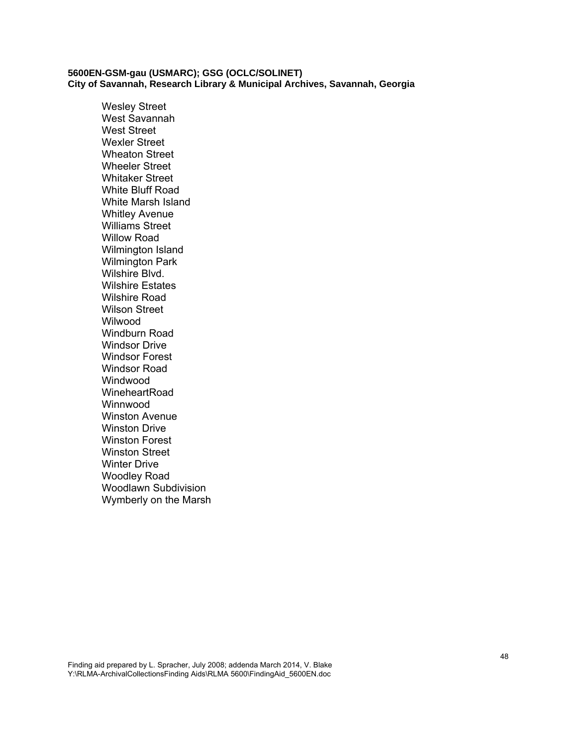Wesley Street West Savannah West Street Wexler Street Wheaton Street Wheeler Street Whitaker Street White Bluff Road White Marsh Island Whitley Avenue Williams Street Willow Road Wilmington Island Wilmington Park Wilshire Blvd. Wilshire Estates Wilshire Road Wilson Street Wilwood Windburn Road Windsor Drive Windsor Forest Windsor Road **Windwood** WineheartRoad Winnwood Winston Avenue Winston Drive Winston Forest Winston Street Winter Drive Woodley Road Woodlawn Subdivision Wymberly on the Marsh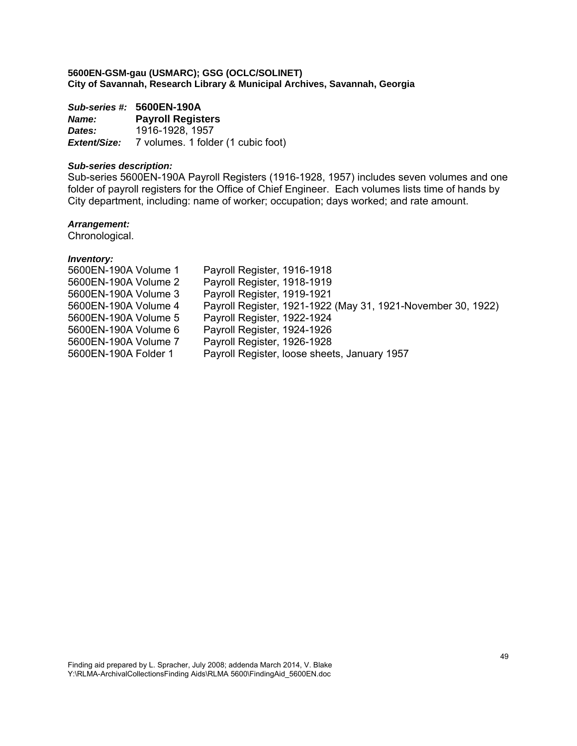*Sub-series #:* **5600EN-190A** *Name:* **Payroll Registers**  *Dates:* 1916-1928, 1957 **Extent/Size:** 7 volumes. 1 folder (1 cubic foot)

# *Sub-series description:*

Sub-series 5600EN-190A Payroll Registers (1916-1928, 1957) includes seven volumes and one folder of payroll registers for the Office of Chief Engineer. Each volumes lists time of hands by City department, including: name of worker; occupation; days worked; and rate amount.

# *Arrangement:*

Chronological.

| 5600EN-190A Volume 1 | Payroll Register, 1916-1918                                  |
|----------------------|--------------------------------------------------------------|
| 5600EN-190A Volume 2 | Payroll Register, 1918-1919                                  |
| 5600EN-190A Volume 3 | Payroll Register, 1919-1921                                  |
| 5600EN-190A Volume 4 | Payroll Register, 1921-1922 (May 31, 1921-November 30, 1922) |
| 5600EN-190A Volume 5 | Payroll Register, 1922-1924                                  |
| 5600EN-190A Volume 6 | Payroll Register, 1924-1926                                  |
| 5600EN-190A Volume 7 | Payroll Register, 1926-1928                                  |
| 5600EN-190A Folder 1 | Payroll Register, loose sheets, January 1957                 |
|                      |                                                              |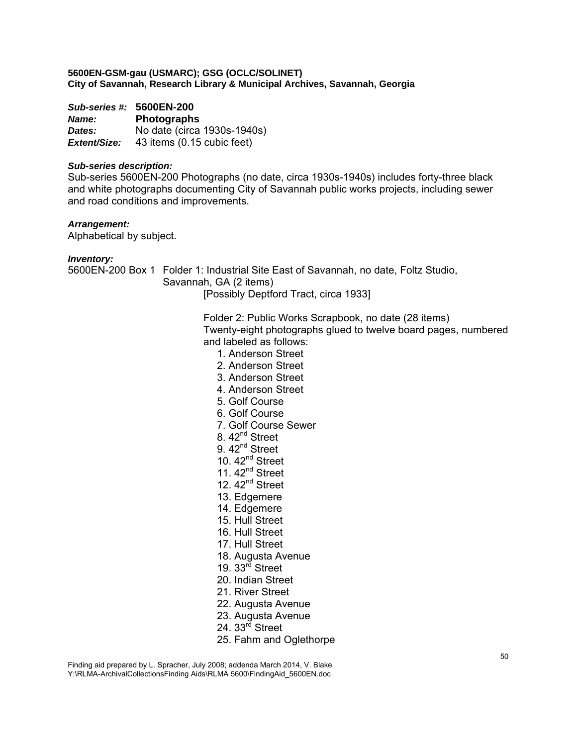*Sub-series #:* **5600EN-200** *Name:* **Photographs**  *Dates:* No date (circa 1930s-1940s) *Extent/Size:* 43 items (0.15 cubic feet)

#### *Sub-series description:*

Sub-series 5600EN-200 Photographs (no date, circa 1930s-1940s) includes forty-three black and white photographs documenting City of Savannah public works projects, including sewer and road conditions and improvements.

#### *Arrangement:*

Alphabetical by subject.

#### *Inventory:*

5600EN-200 Box 1 Folder 1: Industrial Site East of Savannah, no date, Foltz Studio, Savannah, GA (2 items) [Possibly Deptford Tract, circa 1933]

> Folder 2: Public Works Scrapbook, no date (28 items) Twenty-eight photographs glued to twelve board pages, numbered and labeled as follows:

- 1. Anderson Street
- 2. Anderson Street
- 3. Anderson Street
- 4. Anderson Street
- 5. Golf Course
- 6. Golf Course
- 7. Golf Course Sewer
- 8. 42<sup>nd</sup> Street
- 9. 42<sup>nd</sup> Street
- 10.  $42<sup>nd</sup>$  Street
- 11.  $42<sup>nd</sup>$  Street
- 12.  $42<sup>nd</sup>$  Street
- 13. Edgemere
- 14. Edgemere
- 15. Hull Street
- 16. Hull Street
- 17. Hull Street
- 18. Augusta Avenue
- 19.  $33<sup>rd</sup>$  Street
- 20. Indian Street
- 21. River Street
- 22. Augusta Avenue
- 23. Augusta Avenue
- 24.  $33<sup>rd</sup>$  Street
- 25. Fahm and Oglethorpe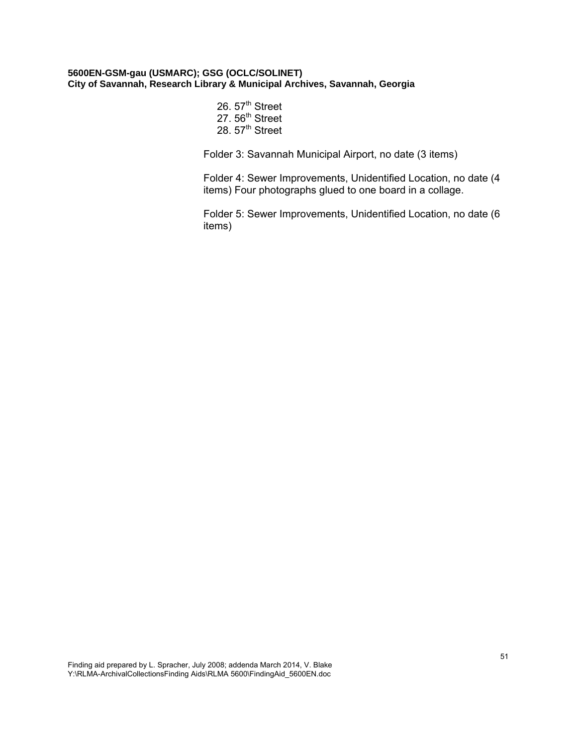26. 57<sup>th</sup> Street 27. 56<sup>th</sup> Street 28. 57<sup>th</sup> Street

Folder 3: Savannah Municipal Airport, no date (3 items)

Folder 4: Sewer Improvements, Unidentified Location, no date (4 items) Four photographs glued to one board in a collage.

Folder 5: Sewer Improvements, Unidentified Location, no date (6 items)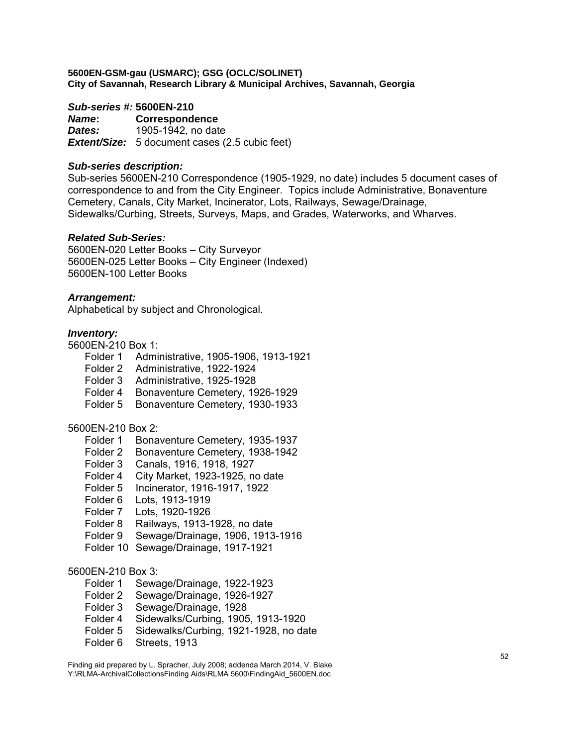# *Sub-series #:* **5600EN-210**

*Name***: Correspondence**  *Dates:* 1905-1942, no date *Extent/Size:* 5 document cases (2.5 cubic feet)

# *Sub-series description:*

Sub-series 5600EN-210 Correspondence (1905-1929, no date) includes 5 document cases of correspondence to and from the City Engineer. Topics include Administrative, Bonaventure Cemetery, Canals, City Market, Incinerator, Lots, Railways, Sewage/Drainage, Sidewalks/Curbing, Streets, Surveys, Maps, and Grades, Waterworks, and Wharves.

#### *Related Sub-Series:*

5600EN-020 Letter Books – City Surveyor 5600EN-025 Letter Books – City Engineer (Indexed) 5600EN-100 Letter Books

#### *Arrangement:*

Alphabetical by subject and Chronological.

#### *Inventory:*

5600EN-210 Box 1:

- Folder 1 Administrative, 1905-1906, 1913-1921
- Folder 2 Administrative, 1922-1924
- Folder 3 Administrative, 1925-1928
- Folder 4 Bonaventure Cemetery, 1926-1929
- Folder 5 Bonaventure Cemetery, 1930-1933

# 5600EN-210 Box 2:

- Folder 1 Bonaventure Cemetery, 1935-1937
- Folder 2 Bonaventure Cemetery, 1938-1942
- Folder 3 Canals, 1916, 1918, 1927
- Folder 4 City Market, 1923-1925, no date
- Folder 5 Incinerator, 1916-1917, 1922
- Folder 6 Lots, 1913-1919
- Folder 7 Lots, 1920-1926
- Folder 8 Railways, 1913-1928, no date
- Folder 9 Sewage/Drainage, 1906, 1913-1916
- Folder 10 Sewage/Drainage, 1917-1921

#### 5600EN-210 Box 3:

- Folder 1 Sewage/Drainage, 1922-1923
- Folder 2 Sewage/Drainage, 1926-1927
- Folder 3 Sewage/Drainage, 1928
- Folder 4 Sidewalks/Curbing, 1905, 1913-1920
- Folder 5 Sidewalks/Curbing, 1921-1928, no date
- Folder 6 Streets, 1913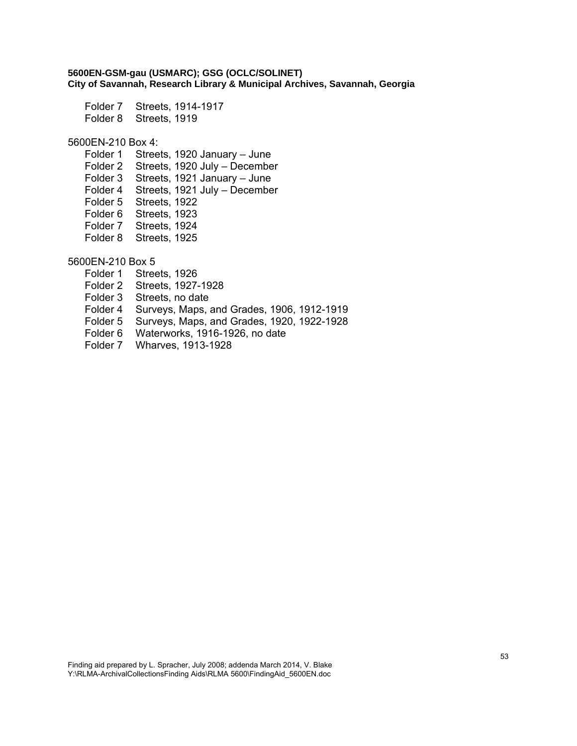Folder 7 Streets, 1914-1917 Folder 8 Streets, 1919

#### 5600EN-210 Box 4:

Folder 1 Streets, 1920 January – June Folder 2 Streets, 1920 July – December Folder 3 Streets, 1921 January – June Folder 4 Streets, 1921 July – December Folder 5 Streets, 1922 Folder 6 Streets, 1923 Folder 7 Streets, 1924 Folder 8 Streets, 1925

5600EN-210 Box 5

- Folder 1 Streets, 1926
- Folder 2 Streets, 1927-1928
- Folder 3 Streets, no date
- Folder 4 Surveys, Maps, and Grades, 1906, 1912-1919
- Folder 5 Surveys, Maps, and Grades, 1920, 1922-1928
- Folder 6 Waterworks, 1916-1926, no date
- Folder 7 Wharves, 1913-1928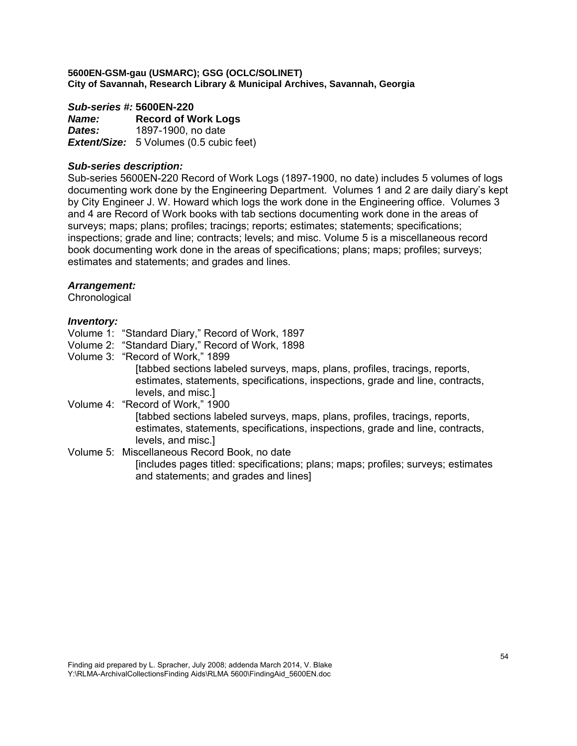#### *Sub-series #:* **5600EN-220**

*Name:* **Record of Work Logs**  *Dates:* 1897-1900, no date *Extent/Size:* 5 Volumes (0.5 cubic feet)

#### *Sub-series description:*

Sub-series 5600EN-220 Record of Work Logs (1897-1900, no date) includes 5 volumes of logs documenting work done by the Engineering Department. Volumes 1 and 2 are daily diary's kept by City Engineer J. W. Howard which logs the work done in the Engineering office. Volumes 3 and 4 are Record of Work books with tab sections documenting work done in the areas of surveys; maps; plans; profiles; tracings; reports; estimates; statements; specifications; inspections; grade and line; contracts; levels; and misc. Volume 5 is a miscellaneous record book documenting work done in the areas of specifications; plans; maps; profiles; surveys; estimates and statements; and grades and lines.

#### *Arrangement:*

**Chronological** 

#### *Inventory:*

- Volume 1: "Standard Diary," Record of Work, 1897
- Volume 2: "Standard Diary," Record of Work, 1898
- Volume 3: "Record of Work," 1899 [tabbed sections labeled surveys, maps, plans, profiles, tracings, reports, estimates, statements, specifications, inspections, grade and line, contracts, levels, and misc.]

Volume 4: "Record of Work," 1900 [tabbed sections labeled surveys, maps, plans, profiles, tracings, reports, estimates, statements, specifications, inspections, grade and line, contracts, levels, and misc.]

Volume 5: Miscellaneous Record Book, no date [includes pages titled: specifications; plans; maps; profiles; surveys; estimates and statements; and grades and lines]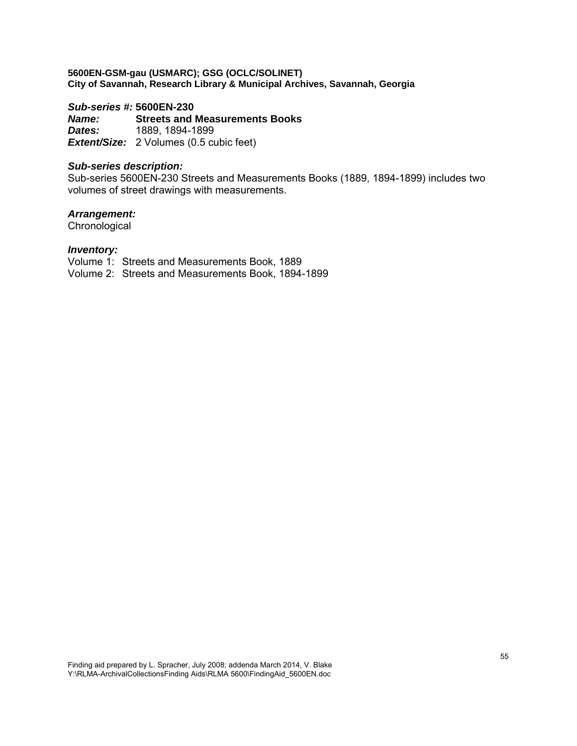# *Sub-series #:* **5600EN-230**

*Name:* **Streets and Measurements Books**  *Dates:* 1889, 1894-1899 *Extent/Size:* 2 Volumes (0.5 cubic feet)

#### *Sub-series description:*

Sub-series 5600EN-230 Streets and Measurements Books (1889, 1894-1899) includes two volumes of street drawings with measurements.

# *Arrangement:*

**Chronological** 

#### *Inventory:*

Volume 1: Streets and Measurements Book, 1889

Volume 2: Streets and Measurements Book, 1894-1899